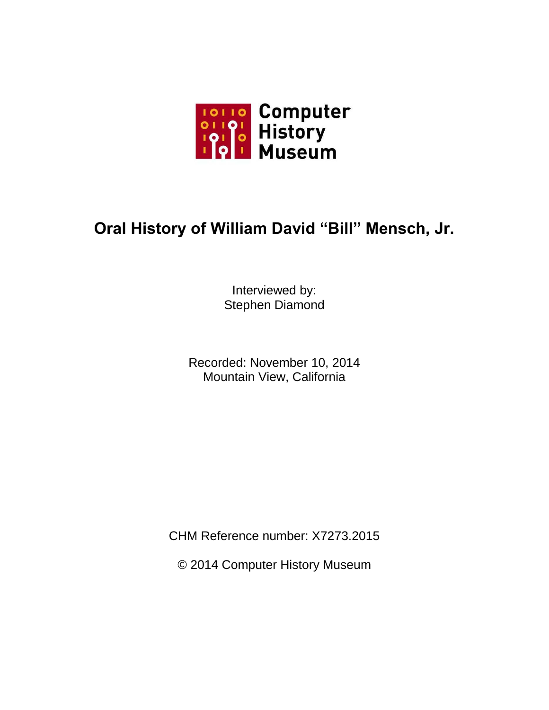

## **Oral History of William David "Bill" Mensch, Jr.**

Interviewed by: Stephen Diamond

Recorded: November 10, 2014 Mountain View, California

CHM Reference number: X7273.2015

© 2014 Computer History Museum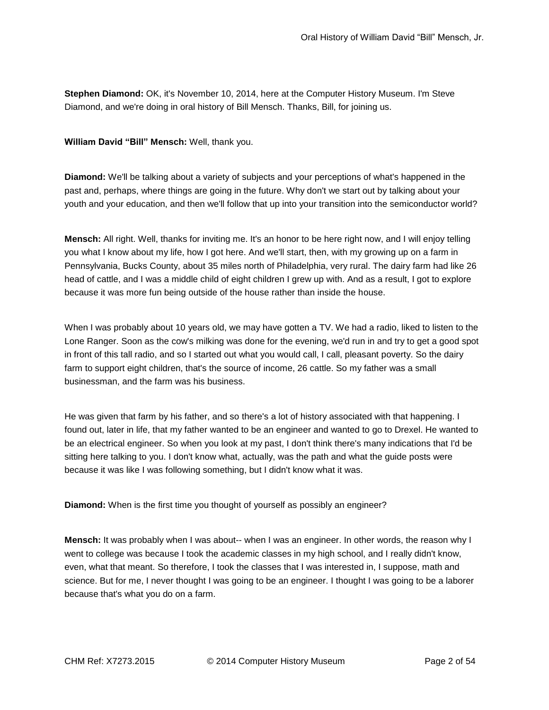**Stephen Diamond:** OK, it's November 10, 2014, here at the Computer History Museum. I'm Steve Diamond, and we're doing in oral history of Bill Mensch. Thanks, Bill, for joining us.

**William David "Bill" Mensch:** Well, thank you.

**Diamond:** We'll be talking about a variety of subjects and your perceptions of what's happened in the past and, perhaps, where things are going in the future. Why don't we start out by talking about your youth and your education, and then we'll follow that up into your transition into the semiconductor world?

**Mensch:** All right. Well, thanks for inviting me. It's an honor to be here right now, and I will enjoy telling you what I know about my life, how I got here. And we'll start, then, with my growing up on a farm in Pennsylvania, Bucks County, about 35 miles north of Philadelphia, very rural. The dairy farm had like 26 head of cattle, and I was a middle child of eight children I grew up with. And as a result, I got to explore because it was more fun being outside of the house rather than inside the house.

When I was probably about 10 years old, we may have gotten a TV. We had a radio, liked to listen to the Lone Ranger. Soon as the cow's milking was done for the evening, we'd run in and try to get a good spot in front of this tall radio, and so I started out what you would call, I call, pleasant poverty. So the dairy farm to support eight children, that's the source of income, 26 cattle. So my father was a small businessman, and the farm was his business.

He was given that farm by his father, and so there's a lot of history associated with that happening. I found out, later in life, that my father wanted to be an engineer and wanted to go to Drexel. He wanted to be an electrical engineer. So when you look at my past, I don't think there's many indications that I'd be sitting here talking to you. I don't know what, actually, was the path and what the guide posts were because it was like I was following something, but I didn't know what it was.

**Diamond:** When is the first time you thought of yourself as possibly an engineer?

**Mensch:** It was probably when I was about-- when I was an engineer. In other words, the reason why I went to college was because I took the academic classes in my high school, and I really didn't know, even, what that meant. So therefore, I took the classes that I was interested in, I suppose, math and science. But for me, I never thought I was going to be an engineer. I thought I was going to be a laborer because that's what you do on a farm.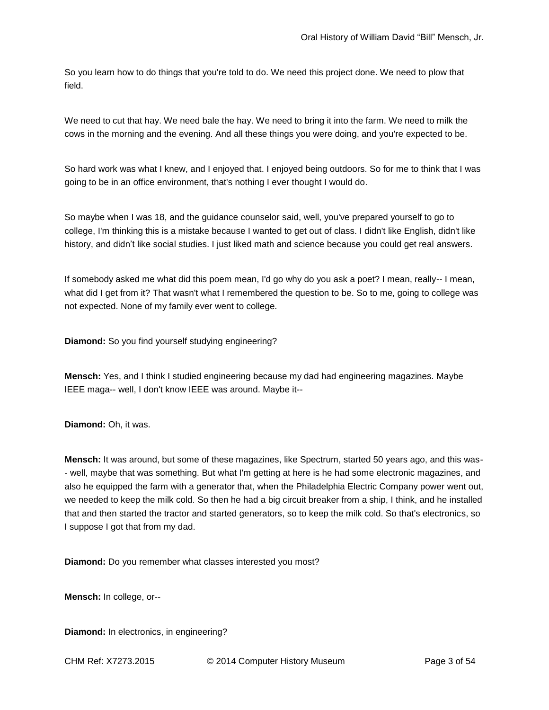So you learn how to do things that you're told to do. We need this project done. We need to plow that field.

We need to cut that hay. We need bale the hay. We need to bring it into the farm. We need to milk the cows in the morning and the evening. And all these things you were doing, and you're expected to be.

So hard work was what I knew, and I enjoyed that. I enjoyed being outdoors. So for me to think that I was going to be in an office environment, that's nothing I ever thought I would do.

So maybe when I was 18, and the guidance counselor said, well, you've prepared yourself to go to college, I'm thinking this is a mistake because I wanted to get out of class. I didn't like English, didn't like history, and didn't like social studies. I just liked math and science because you could get real answers.

If somebody asked me what did this poem mean, I'd go why do you ask a poet? I mean, really-- I mean, what did I get from it? That wasn't what I remembered the question to be. So to me, going to college was not expected. None of my family ever went to college.

**Diamond:** So you find yourself studying engineering?

**Mensch:** Yes, and I think I studied engineering because my dad had engineering magazines. Maybe IEEE maga-- well, I don't know IEEE was around. Maybe it--

**Diamond:** Oh, it was.

**Mensch:** It was around, but some of these magazines, like Spectrum, started 50 years ago, and this was- - well, maybe that was something. But what I'm getting at here is he had some electronic magazines, and also he equipped the farm with a generator that, when the Philadelphia Electric Company power went out, we needed to keep the milk cold. So then he had a big circuit breaker from a ship, I think, and he installed that and then started the tractor and started generators, so to keep the milk cold. So that's electronics, so I suppose I got that from my dad.

**Diamond:** Do you remember what classes interested you most?

**Mensch:** In college, or--

**Diamond:** In electronics, in engineering?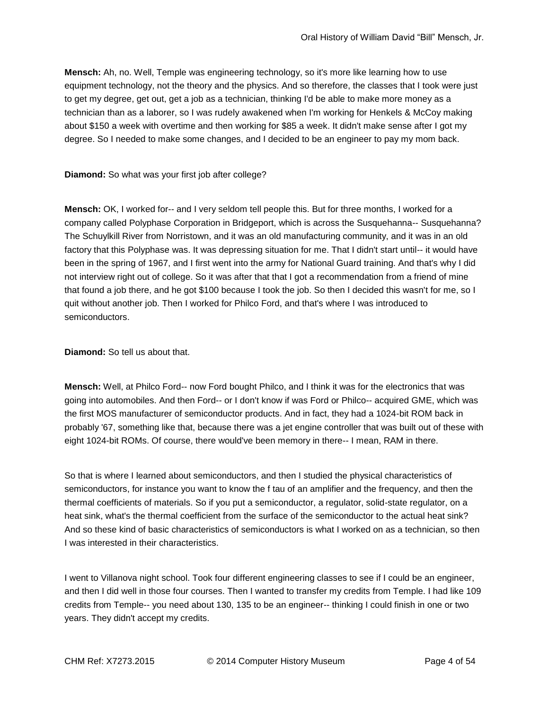**Mensch:** Ah, no. Well, Temple was engineering technology, so it's more like learning how to use equipment technology, not the theory and the physics. And so therefore, the classes that I took were just to get my degree, get out, get a job as a technician, thinking I'd be able to make more money as a technician than as a laborer, so I was rudely awakened when I'm working for Henkels & McCoy making about \$150 a week with overtime and then working for \$85 a week. It didn't make sense after I got my degree. So I needed to make some changes, and I decided to be an engineer to pay my mom back.

**Diamond:** So what was your first job after college?

**Mensch:** OK, I worked for-- and I very seldom tell people this. But for three months, I worked for a company called Polyphase Corporation in Bridgeport, which is across the Susquehanna-- Susquehanna? The Schuylkill River from Norristown, and it was an old manufacturing community, and it was in an old factory that this Polyphase was. It was depressing situation for me. That I didn't start until-- it would have been in the spring of 1967, and I first went into the army for National Guard training. And that's why I did not interview right out of college. So it was after that that I got a recommendation from a friend of mine that found a job there, and he got \$100 because I took the job. So then I decided this wasn't for me, so I quit without another job. Then I worked for Philco Ford, and that's where I was introduced to semiconductors.

**Diamond:** So tell us about that.

**Mensch:** Well, at Philco Ford-- now Ford bought Philco, and I think it was for the electronics that was going into automobiles. And then Ford-- or I don't know if was Ford or Philco-- acquired GME, which was the first MOS manufacturer of semiconductor products. And in fact, they had a 1024-bit ROM back in probably '67, something like that, because there was a jet engine controller that was built out of these with eight 1024-bit ROMs. Of course, there would've been memory in there-- I mean, RAM in there.

So that is where I learned about semiconductors, and then I studied the physical characteristics of semiconductors, for instance you want to know the f tau of an amplifier and the frequency, and then the thermal coefficients of materials. So if you put a semiconductor, a regulator, solid-state regulator, on a heat sink, what's the thermal coefficient from the surface of the semiconductor to the actual heat sink? And so these kind of basic characteristics of semiconductors is what I worked on as a technician, so then I was interested in their characteristics.

I went to Villanova night school. Took four different engineering classes to see if I could be an engineer, and then I did well in those four courses. Then I wanted to transfer my credits from Temple. I had like 109 credits from Temple-- you need about 130, 135 to be an engineer-- thinking I could finish in one or two years. They didn't accept my credits.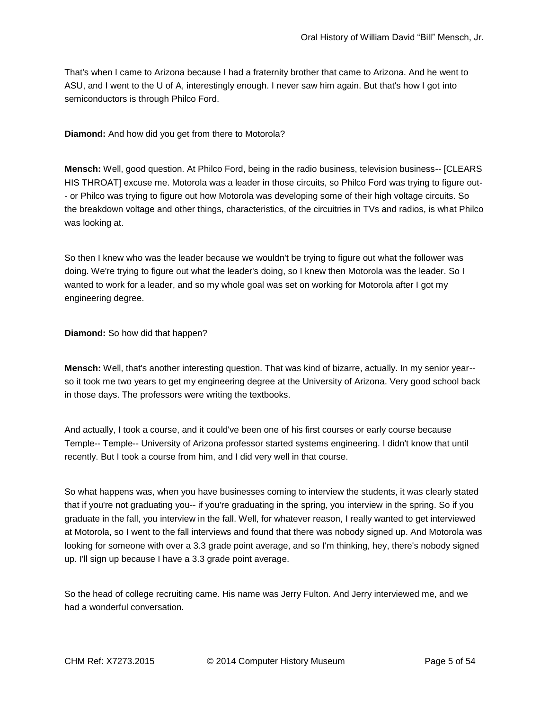That's when I came to Arizona because I had a fraternity brother that came to Arizona. And he went to ASU, and I went to the U of A, interestingly enough. I never saw him again. But that's how I got into semiconductors is through Philco Ford.

**Diamond:** And how did you get from there to Motorola?

**Mensch:** Well, good question. At Philco Ford, being in the radio business, television business-- [CLEARS HIS THROAT] excuse me. Motorola was a leader in those circuits, so Philco Ford was trying to figure out- - or Philco was trying to figure out how Motorola was developing some of their high voltage circuits. So the breakdown voltage and other things, characteristics, of the circuitries in TVs and radios, is what Philco was looking at.

So then I knew who was the leader because we wouldn't be trying to figure out what the follower was doing. We're trying to figure out what the leader's doing, so I knew then Motorola was the leader. So I wanted to work for a leader, and so my whole goal was set on working for Motorola after I got my engineering degree.

**Diamond:** So how did that happen?

**Mensch:** Well, that's another interesting question. That was kind of bizarre, actually. In my senior year- so it took me two years to get my engineering degree at the University of Arizona. Very good school back in those days. The professors were writing the textbooks.

And actually, I took a course, and it could've been one of his first courses or early course because Temple-- Temple-- University of Arizona professor started systems engineering. I didn't know that until recently. But I took a course from him, and I did very well in that course.

So what happens was, when you have businesses coming to interview the students, it was clearly stated that if you're not graduating you-- if you're graduating in the spring, you interview in the spring. So if you graduate in the fall, you interview in the fall. Well, for whatever reason, I really wanted to get interviewed at Motorola, so I went to the fall interviews and found that there was nobody signed up. And Motorola was looking for someone with over a 3.3 grade point average, and so I'm thinking, hey, there's nobody signed up. I'll sign up because I have a 3.3 grade point average.

So the head of college recruiting came. His name was Jerry Fulton. And Jerry interviewed me, and we had a wonderful conversation.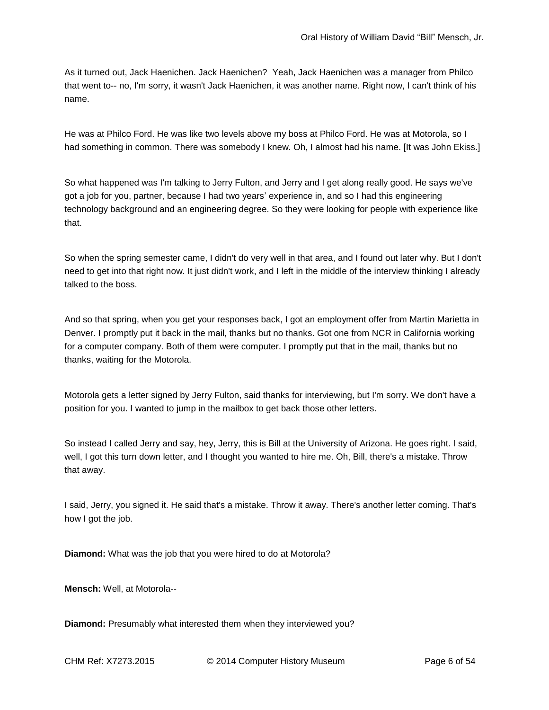As it turned out, Jack Haenichen. Jack Haenichen? Yeah, Jack Haenichen was a manager from Philco that went to-- no, I'm sorry, it wasn't Jack Haenichen, it was another name. Right now, I can't think of his name.

He was at Philco Ford. He was like two levels above my boss at Philco Ford. He was at Motorola, so I had something in common. There was somebody I knew. Oh, I almost had his name. [It was John Ekiss.]

So what happened was I'm talking to Jerry Fulton, and Jerry and I get along really good. He says we've got a job for you, partner, because I had two years' experience in, and so I had this engineering technology background and an engineering degree. So they were looking for people with experience like that.

So when the spring semester came, I didn't do very well in that area, and I found out later why. But I don't need to get into that right now. It just didn't work, and I left in the middle of the interview thinking I already talked to the boss.

And so that spring, when you get your responses back, I got an employment offer from Martin Marietta in Denver. I promptly put it back in the mail, thanks but no thanks. Got one from NCR in California working for a computer company. Both of them were computer. I promptly put that in the mail, thanks but no thanks, waiting for the Motorola.

Motorola gets a letter signed by Jerry Fulton, said thanks for interviewing, but I'm sorry. We don't have a position for you. I wanted to jump in the mailbox to get back those other letters.

So instead I called Jerry and say, hey, Jerry, this is Bill at the University of Arizona. He goes right. I said, well, I got this turn down letter, and I thought you wanted to hire me. Oh, Bill, there's a mistake. Throw that away.

I said, Jerry, you signed it. He said that's a mistake. Throw it away. There's another letter coming. That's how I got the job.

**Diamond:** What was the job that you were hired to do at Motorola?

**Mensch:** Well, at Motorola--

**Diamond:** Presumably what interested them when they interviewed you?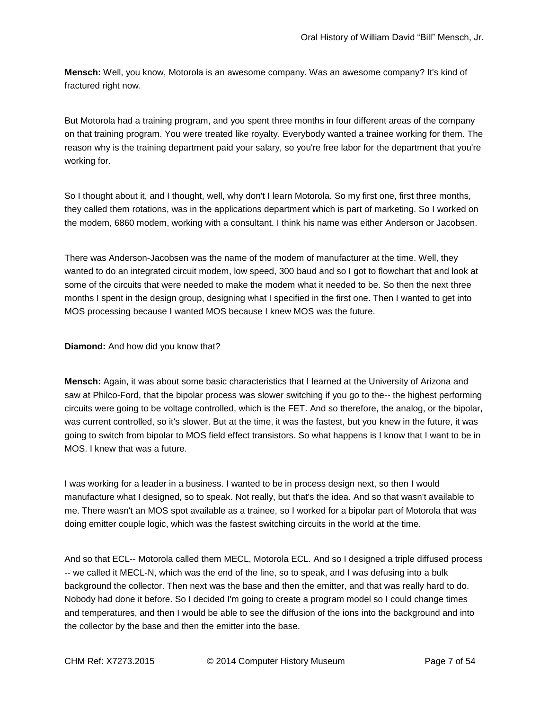**Mensch:** Well, you know, Motorola is an awesome company. Was an awesome company? It's kind of fractured right now.

But Motorola had a training program, and you spent three months in four different areas of the company on that training program. You were treated like royalty. Everybody wanted a trainee working for them. The reason why is the training department paid your salary, so you're free labor for the department that you're working for.

So I thought about it, and I thought, well, why don't I learn Motorola. So my first one, first three months, they called them rotations, was in the applications department which is part of marketing. So I worked on the modem, 6860 modem, working with a consultant. I think his name was either Anderson or Jacobsen.

There was Anderson-Jacobsen was the name of the modem of manufacturer at the time. Well, they wanted to do an integrated circuit modem, low speed, 300 baud and so I got to flowchart that and look at some of the circuits that were needed to make the modem what it needed to be. So then the next three months I spent in the design group, designing what I specified in the first one. Then I wanted to get into MOS processing because I wanted MOS because I knew MOS was the future.

**Diamond:** And how did you know that?

**Mensch:** Again, it was about some basic characteristics that I learned at the University of Arizona and saw at Philco-Ford, that the bipolar process was slower switching if you go to the-- the highest performing circuits were going to be voltage controlled, which is the FET. And so therefore, the analog, or the bipolar, was current controlled, so it's slower. But at the time, it was the fastest, but you knew in the future, it was going to switch from bipolar to MOS field effect transistors. So what happens is I know that I want to be in MOS. I knew that was a future.

I was working for a leader in a business. I wanted to be in process design next, so then I would manufacture what I designed, so to speak. Not really, but that's the idea. And so that wasn't available to me. There wasn't an MOS spot available as a trainee, so I worked for a bipolar part of Motorola that was doing emitter couple logic, which was the fastest switching circuits in the world at the time.

And so that ECL-- Motorola called them MECL, Motorola ECL. And so I designed a triple diffused process -- we called it MECL-N, which was the end of the line, so to speak, and I was defusing into a bulk background the collector. Then next was the base and then the emitter, and that was really hard to do. Nobody had done it before. So I decided I'm going to create a program model so I could change times and temperatures, and then I would be able to see the diffusion of the ions into the background and into the collector by the base and then the emitter into the base.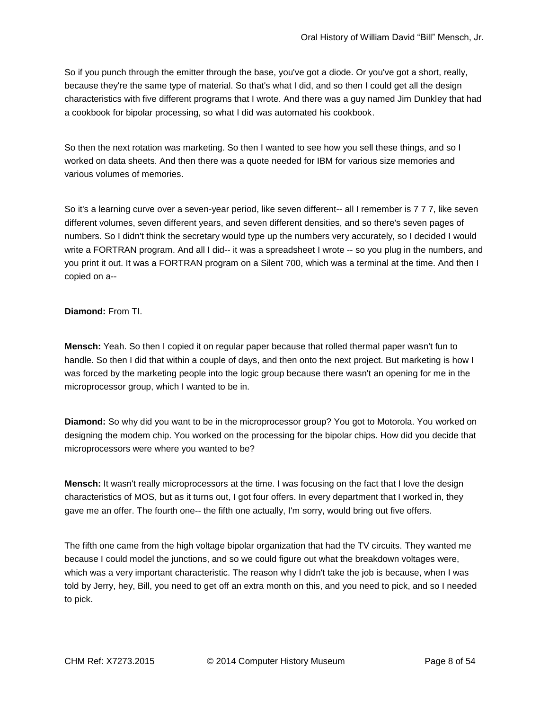So if you punch through the emitter through the base, you've got a diode. Or you've got a short, really, because they're the same type of material. So that's what I did, and so then I could get all the design characteristics with five different programs that I wrote. And there was a guy named Jim Dunkley that had a cookbook for bipolar processing, so what I did was automated his cookbook.

So then the next rotation was marketing. So then I wanted to see how you sell these things, and so I worked on data sheets. And then there was a quote needed for IBM for various size memories and various volumes of memories.

So it's a learning curve over a seven-year period, like seven different-- all I remember is 7 7 7, like seven different volumes, seven different years, and seven different densities, and so there's seven pages of numbers. So I didn't think the secretary would type up the numbers very accurately, so I decided I would write a FORTRAN program. And all I did-- it was a spreadsheet I wrote -- so you plug in the numbers, and you print it out. It was a FORTRAN program on a Silent 700, which was a terminal at the time. And then I copied on a--

## **Diamond:** From TI.

**Mensch:** Yeah. So then I copied it on regular paper because that rolled thermal paper wasn't fun to handle. So then I did that within a couple of days, and then onto the next project. But marketing is how I was forced by the marketing people into the logic group because there wasn't an opening for me in the microprocessor group, which I wanted to be in.

**Diamond:** So why did you want to be in the microprocessor group? You got to Motorola. You worked on designing the modem chip. You worked on the processing for the bipolar chips. How did you decide that microprocessors were where you wanted to be?

**Mensch:** It wasn't really microprocessors at the time. I was focusing on the fact that I love the design characteristics of MOS, but as it turns out, I got four offers. In every department that I worked in, they gave me an offer. The fourth one-- the fifth one actually, I'm sorry, would bring out five offers.

The fifth one came from the high voltage bipolar organization that had the TV circuits. They wanted me because I could model the junctions, and so we could figure out what the breakdown voltages were, which was a very important characteristic. The reason why I didn't take the job is because, when I was told by Jerry, hey, Bill, you need to get off an extra month on this, and you need to pick, and so I needed to pick.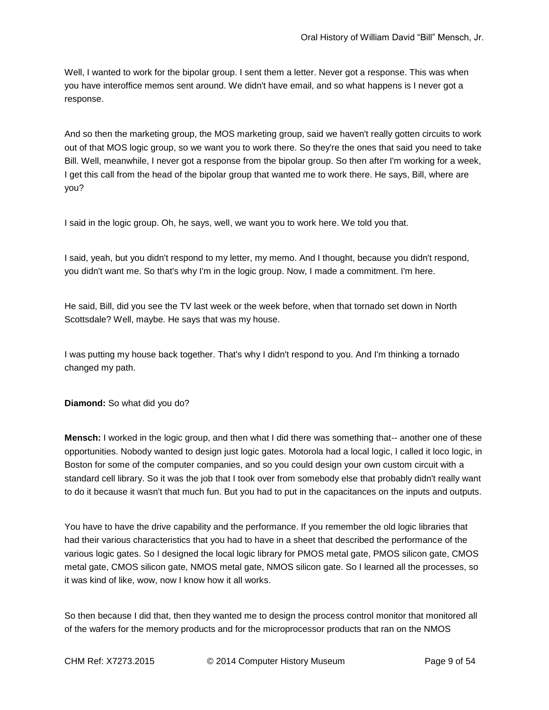Well, I wanted to work for the bipolar group. I sent them a letter. Never got a response. This was when you have interoffice memos sent around. We didn't have email, and so what happens is I never got a response.

And so then the marketing group, the MOS marketing group, said we haven't really gotten circuits to work out of that MOS logic group, so we want you to work there. So they're the ones that said you need to take Bill. Well, meanwhile, I never got a response from the bipolar group. So then after I'm working for a week, I get this call from the head of the bipolar group that wanted me to work there. He says, Bill, where are you?

I said in the logic group. Oh, he says, well, we want you to work here. We told you that.

I said, yeah, but you didn't respond to my letter, my memo. And I thought, because you didn't respond, you didn't want me. So that's why I'm in the logic group. Now, I made a commitment. I'm here.

He said, Bill, did you see the TV last week or the week before, when that tornado set down in North Scottsdale? Well, maybe. He says that was my house.

I was putting my house back together. That's why I didn't respond to you. And I'm thinking a tornado changed my path.

**Diamond:** So what did you do?

**Mensch:** I worked in the logic group, and then what I did there was something that-- another one of these opportunities. Nobody wanted to design just logic gates. Motorola had a local logic, I called it loco logic, in Boston for some of the computer companies, and so you could design your own custom circuit with a standard cell library. So it was the job that I took over from somebody else that probably didn't really want to do it because it wasn't that much fun. But you had to put in the capacitances on the inputs and outputs.

You have to have the drive capability and the performance. If you remember the old logic libraries that had their various characteristics that you had to have in a sheet that described the performance of the various logic gates. So I designed the local logic library for PMOS metal gate, PMOS silicon gate, CMOS metal gate, CMOS silicon gate, NMOS metal gate, NMOS silicon gate. So I learned all the processes, so it was kind of like, wow, now I know how it all works.

So then because I did that, then they wanted me to design the process control monitor that monitored all of the wafers for the memory products and for the microprocessor products that ran on the NMOS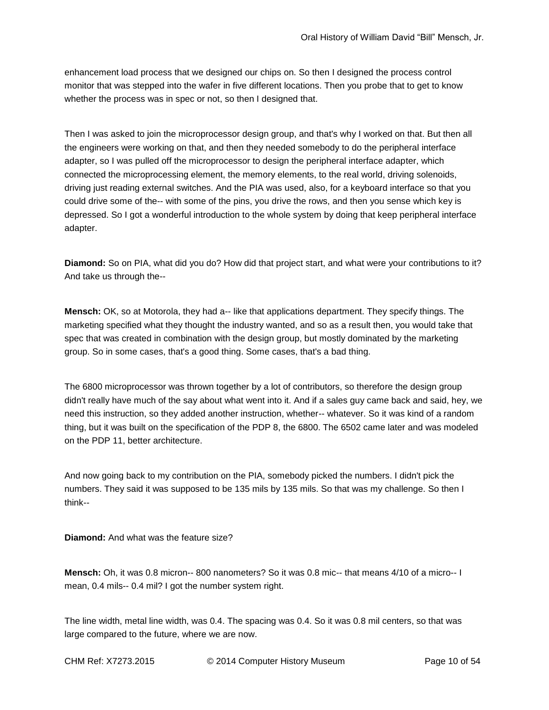enhancement load process that we designed our chips on. So then I designed the process control monitor that was stepped into the wafer in five different locations. Then you probe that to get to know whether the process was in spec or not, so then I designed that.

Then I was asked to join the microprocessor design group, and that's why I worked on that. But then all the engineers were working on that, and then they needed somebody to do the peripheral interface adapter, so I was pulled off the microprocessor to design the peripheral interface adapter, which connected the microprocessing element, the memory elements, to the real world, driving solenoids, driving just reading external switches. And the PIA was used, also, for a keyboard interface so that you could drive some of the-- with some of the pins, you drive the rows, and then you sense which key is depressed. So I got a wonderful introduction to the whole system by doing that keep peripheral interface adapter.

**Diamond:** So on PIA, what did you do? How did that project start, and what were your contributions to it? And take us through the--

**Mensch:** OK, so at Motorola, they had a-- like that applications department. They specify things. The marketing specified what they thought the industry wanted, and so as a result then, you would take that spec that was created in combination with the design group, but mostly dominated by the marketing group. So in some cases, that's a good thing. Some cases, that's a bad thing.

The 6800 microprocessor was thrown together by a lot of contributors, so therefore the design group didn't really have much of the say about what went into it. And if a sales guy came back and said, hey, we need this instruction, so they added another instruction, whether-- whatever. So it was kind of a random thing, but it was built on the specification of the PDP 8, the 6800. The 6502 came later and was modeled on the PDP 11, better architecture.

And now going back to my contribution on the PIA, somebody picked the numbers. I didn't pick the numbers. They said it was supposed to be 135 mils by 135 mils. So that was my challenge. So then I think--

**Diamond:** And what was the feature size?

**Mensch:** Oh, it was 0.8 micron-- 800 nanometers? So it was 0.8 mic-- that means 4/10 of a micro-- I mean, 0.4 mils-- 0.4 mil? I got the number system right.

The line width, metal line width, was 0.4. The spacing was 0.4. So it was 0.8 mil centers, so that was large compared to the future, where we are now.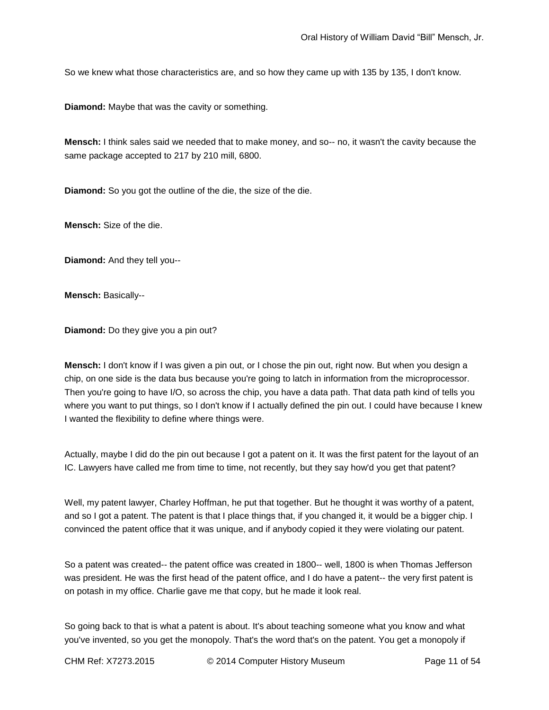So we knew what those characteristics are, and so how they came up with 135 by 135, I don't know.

**Diamond:** Maybe that was the cavity or something.

**Mensch:** I think sales said we needed that to make money, and so-- no, it wasn't the cavity because the same package accepted to 217 by 210 mill, 6800.

**Diamond:** So you got the outline of the die, the size of the die.

**Mensch:** Size of the die.

**Diamond:** And they tell you--

**Mensch:** Basically--

**Diamond:** Do they give you a pin out?

**Mensch:** I don't know if I was given a pin out, or I chose the pin out, right now. But when you design a chip, on one side is the data bus because you're going to latch in information from the microprocessor. Then you're going to have I/O, so across the chip, you have a data path. That data path kind of tells you where you want to put things, so I don't know if I actually defined the pin out. I could have because I knew I wanted the flexibility to define where things were.

Actually, maybe I did do the pin out because I got a patent on it. It was the first patent for the layout of an IC. Lawyers have called me from time to time, not recently, but they say how'd you get that patent?

Well, my patent lawyer, Charley Hoffman, he put that together. But he thought it was worthy of a patent, and so I got a patent. The patent is that I place things that, if you changed it, it would be a bigger chip. I convinced the patent office that it was unique, and if anybody copied it they were violating our patent.

So a patent was created-- the patent office was created in 1800-- well, 1800 is when Thomas Jefferson was president. He was the first head of the patent office, and I do have a patent-- the very first patent is on potash in my office. Charlie gave me that copy, but he made it look real.

So going back to that is what a patent is about. It's about teaching someone what you know and what you've invented, so you get the monopoly. That's the word that's on the patent. You get a monopoly if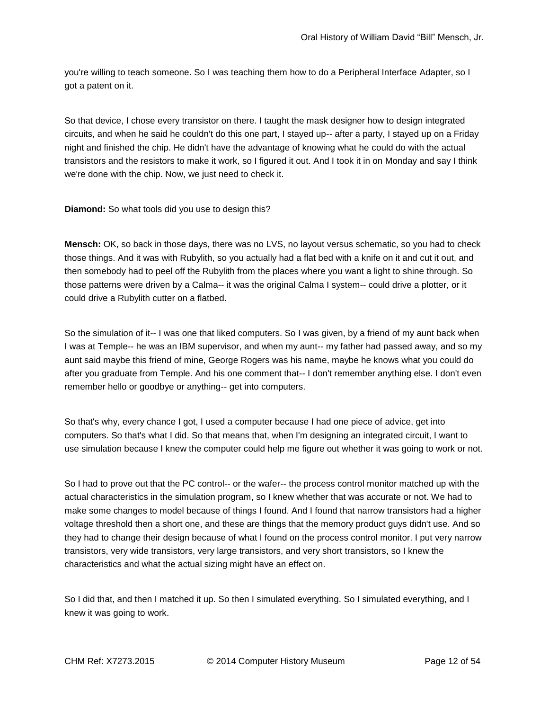you're willing to teach someone. So I was teaching them how to do a Peripheral Interface Adapter, so I got a patent on it.

So that device, I chose every transistor on there. I taught the mask designer how to design integrated circuits, and when he said he couldn't do this one part, I stayed up-- after a party, I stayed up on a Friday night and finished the chip. He didn't have the advantage of knowing what he could do with the actual transistors and the resistors to make it work, so I figured it out. And I took it in on Monday and say I think we're done with the chip. Now, we just need to check it.

**Diamond:** So what tools did you use to design this?

**Mensch:** OK, so back in those days, there was no LVS, no layout versus schematic, so you had to check those things. And it was with Rubylith, so you actually had a flat bed with a knife on it and cut it out, and then somebody had to peel off the Rubylith from the places where you want a light to shine through. So those patterns were driven by a Calma-- it was the original Calma I system-- could drive a plotter, or it could drive a Rubylith cutter on a flatbed.

So the simulation of it-- I was one that liked computers. So I was given, by a friend of my aunt back when I was at Temple-- he was an IBM supervisor, and when my aunt-- my father had passed away, and so my aunt said maybe this friend of mine, George Rogers was his name, maybe he knows what you could do after you graduate from Temple. And his one comment that-- I don't remember anything else. I don't even remember hello or goodbye or anything-- get into computers.

So that's why, every chance I got, I used a computer because I had one piece of advice, get into computers. So that's what I did. So that means that, when I'm designing an integrated circuit, I want to use simulation because I knew the computer could help me figure out whether it was going to work or not.

So I had to prove out that the PC control-- or the wafer-- the process control monitor matched up with the actual characteristics in the simulation program, so I knew whether that was accurate or not. We had to make some changes to model because of things I found. And I found that narrow transistors had a higher voltage threshold then a short one, and these are things that the memory product guys didn't use. And so they had to change their design because of what I found on the process control monitor. I put very narrow transistors, very wide transistors, very large transistors, and very short transistors, so I knew the characteristics and what the actual sizing might have an effect on.

So I did that, and then I matched it up. So then I simulated everything. So I simulated everything, and I knew it was going to work.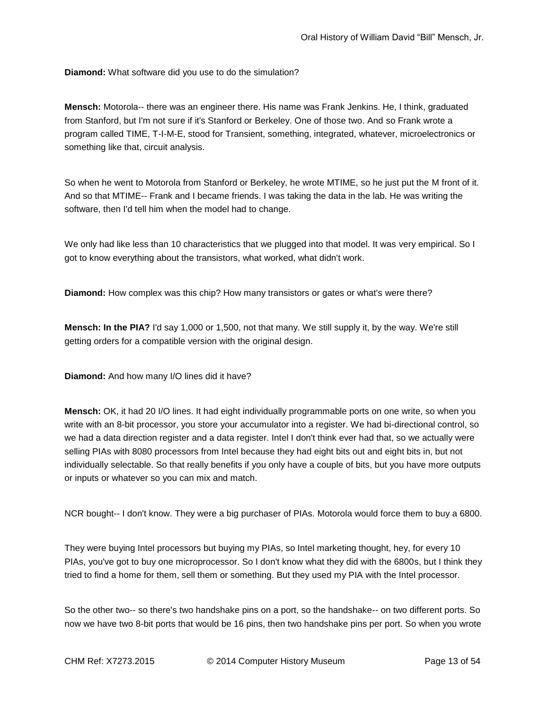**Diamond:** What software did you use to do the simulation?

**Mensch:** Motorola-- there was an engineer there. His name was Frank Jenkins. He, I think, graduated from Stanford, but I'm not sure if it's Stanford or Berkeley. One of those two. And so Frank wrote a program called TIME, T-I-M-E, stood for Transient, something, integrated, whatever, microelectronics or something like that, circuit analysis.

So when he went to Motorola from Stanford or Berkeley, he wrote MTIME, so he just put the M front of it. And so that MTIME-- Frank and I became friends. I was taking the data in the lab. He was writing the software, then I'd tell him when the model had to change.

We only had like less than 10 characteristics that we plugged into that model. It was very empirical. So I got to know everything about the transistors, what worked, what didn't work.

**Diamond:** How complex was this chip? How many transistors or gates or what's were there?

**Mensch: In the PIA?** I'd say 1,000 or 1,500, not that many. We still supply it, by the way. We're still getting orders for a compatible version with the original design.

**Diamond:** And how many I/O lines did it have?

**Mensch:** OK, it had 20 I/O lines. It had eight individually programmable ports on one write, so when you write with an 8-bit processor, you store your accumulator into a register. We had bi-directional control, so we had a data direction register and a data register. Intel I don't think ever had that, so we actually were selling PIAs with 8080 processors from Intel because they had eight bits out and eight bits in, but not individually selectable. So that really benefits if you only have a couple of bits, but you have more outputs or inputs or whatever so you can mix and match.

NCR bought-- I don't know. They were a big purchaser of PIAs. Motorola would force them to buy a 6800.

They were buying Intel processors but buying my PIAs, so Intel marketing thought, hey, for every 10 PIAs, you've got to buy one microprocessor. So I don't know what they did with the 6800s, but I think they tried to find a home for them, sell them or something. But they used my PIA with the Intel processor.

So the other two-- so there's two handshake pins on a port, so the handshake-- on two different ports. So now we have two 8-bit ports that would be 16 pins, then two handshake pins per port. So when you wrote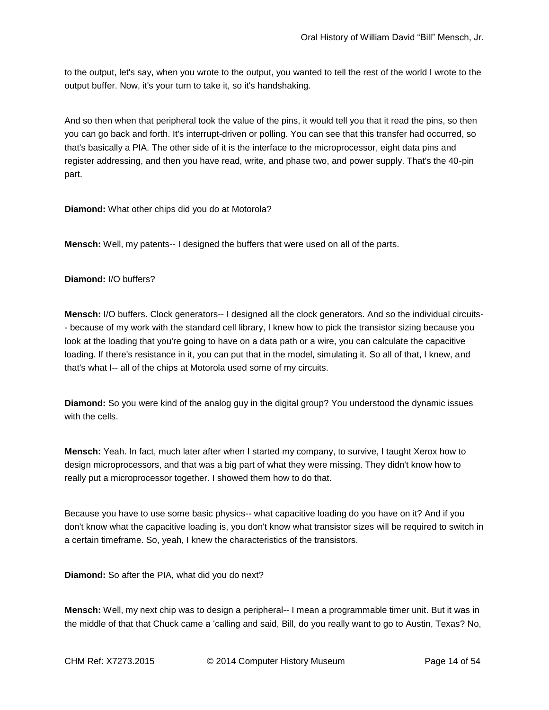to the output, let's say, when you wrote to the output, you wanted to tell the rest of the world I wrote to the output buffer. Now, it's your turn to take it, so it's handshaking.

And so then when that peripheral took the value of the pins, it would tell you that it read the pins, so then you can go back and forth. It's interrupt-driven or polling. You can see that this transfer had occurred, so that's basically a PIA. The other side of it is the interface to the microprocessor, eight data pins and register addressing, and then you have read, write, and phase two, and power supply. That's the 40-pin part.

**Diamond:** What other chips did you do at Motorola?

**Mensch:** Well, my patents-- I designed the buffers that were used on all of the parts.

**Diamond:** I/O buffers?

**Mensch:** I/O buffers. Clock generators-- I designed all the clock generators. And so the individual circuits- - because of my work with the standard cell library, I knew how to pick the transistor sizing because you look at the loading that you're going to have on a data path or a wire, you can calculate the capacitive loading. If there's resistance in it, you can put that in the model, simulating it. So all of that, I knew, and that's what I-- all of the chips at Motorola used some of my circuits.

**Diamond:** So you were kind of the analog guy in the digital group? You understood the dynamic issues with the cells.

**Mensch:** Yeah. In fact, much later after when I started my company, to survive, I taught Xerox how to design microprocessors, and that was a big part of what they were missing. They didn't know how to really put a microprocessor together. I showed them how to do that.

Because you have to use some basic physics-- what capacitive loading do you have on it? And if you don't know what the capacitive loading is, you don't know what transistor sizes will be required to switch in a certain timeframe. So, yeah, I knew the characteristics of the transistors.

**Diamond:** So after the PIA, what did you do next?

**Mensch:** Well, my next chip was to design a peripheral-- I mean a programmable timer unit. But it was in the middle of that that Chuck came a 'calling and said, Bill, do you really want to go to Austin, Texas? No,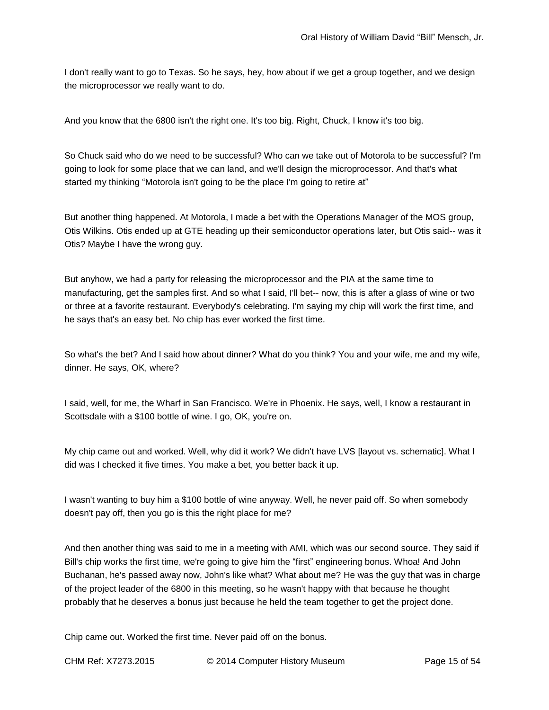I don't really want to go to Texas. So he says, hey, how about if we get a group together, and we design the microprocessor we really want to do.

And you know that the 6800 isn't the right one. It's too big. Right, Chuck, I know it's too big.

So Chuck said who do we need to be successful? Who can we take out of Motorola to be successful? I'm going to look for some place that we can land, and we'll design the microprocessor. And that's what started my thinking "Motorola isn't going to be the place I'm going to retire at"

But another thing happened. At Motorola, I made a bet with the Operations Manager of the MOS group, Otis Wilkins. Otis ended up at GTE heading up their semiconductor operations later, but Otis said-- was it Otis? Maybe I have the wrong guy.

But anyhow, we had a party for releasing the microprocessor and the PIA at the same time to manufacturing, get the samples first. And so what I said, I'll bet-- now, this is after a glass of wine or two or three at a favorite restaurant. Everybody's celebrating. I'm saying my chip will work the first time, and he says that's an easy bet. No chip has ever worked the first time.

So what's the bet? And I said how about dinner? What do you think? You and your wife, me and my wife, dinner. He says, OK, where?

I said, well, for me, the Wharf in San Francisco. We're in Phoenix. He says, well, I know a restaurant in Scottsdale with a \$100 bottle of wine. I go, OK, you're on.

My chip came out and worked. Well, why did it work? We didn't have LVS [layout vs. schematic]. What I did was I checked it five times. You make a bet, you better back it up.

I wasn't wanting to buy him a \$100 bottle of wine anyway. Well, he never paid off. So when somebody doesn't pay off, then you go is this the right place for me?

And then another thing was said to me in a meeting with AMI, which was our second source. They said if Bill's chip works the first time, we're going to give him the "first" engineering bonus. Whoa! And John Buchanan, he's passed away now, John's like what? What about me? He was the guy that was in charge of the project leader of the 6800 in this meeting, so he wasn't happy with that because he thought probably that he deserves a bonus just because he held the team together to get the project done.

Chip came out. Worked the first time. Never paid off on the bonus.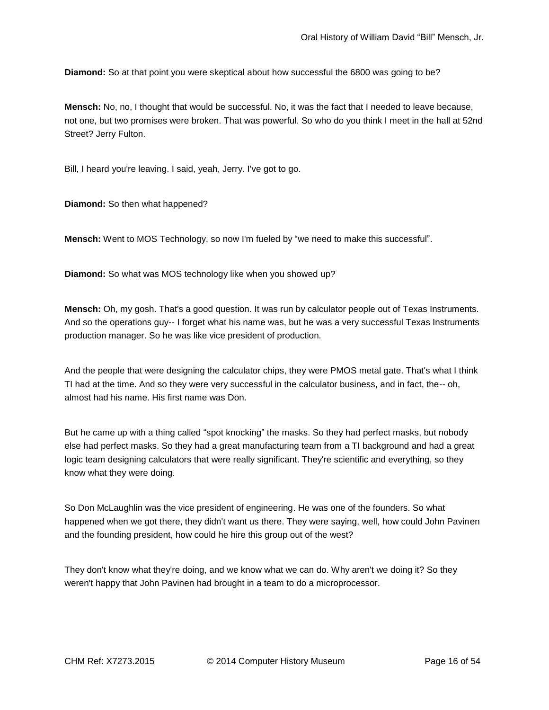**Diamond:** So at that point you were skeptical about how successful the 6800 was going to be?

**Mensch:** No, no, I thought that would be successful. No, it was the fact that I needed to leave because, not one, but two promises were broken. That was powerful. So who do you think I meet in the hall at 52nd Street? Jerry Fulton.

Bill, I heard you're leaving. I said, yeah, Jerry. I've got to go.

**Diamond:** So then what happened?

**Mensch:** Went to MOS Technology, so now I'm fueled by "we need to make this successful".

**Diamond:** So what was MOS technology like when you showed up?

**Mensch:** Oh, my gosh. That's a good question. It was run by calculator people out of Texas Instruments. And so the operations guy-- I forget what his name was, but he was a very successful Texas Instruments production manager. So he was like vice president of production.

And the people that were designing the calculator chips, they were PMOS metal gate. That's what I think TI had at the time. And so they were very successful in the calculator business, and in fact, the-- oh, almost had his name. His first name was Don.

But he came up with a thing called "spot knocking" the masks. So they had perfect masks, but nobody else had perfect masks. So they had a great manufacturing team from a TI background and had a great logic team designing calculators that were really significant. They're scientific and everything, so they know what they were doing.

So Don McLaughlin was the vice president of engineering. He was one of the founders. So what happened when we got there, they didn't want us there. They were saying, well, how could John Pavinen and the founding president, how could he hire this group out of the west?

They don't know what they're doing, and we know what we can do. Why aren't we doing it? So they weren't happy that John Pavinen had brought in a team to do a microprocessor.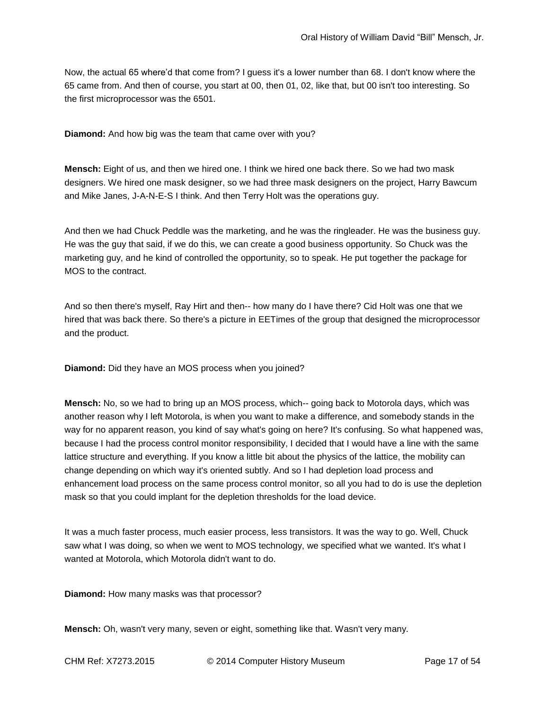Now, the actual 65 where'd that come from? I guess it's a lower number than 68. I don't know where the 65 came from. And then of course, you start at 00, then 01, 02, like that, but 00 isn't too interesting. So the first microprocessor was the 6501.

**Diamond:** And how big was the team that came over with you?

**Mensch:** Eight of us, and then we hired one. I think we hired one back there. So we had two mask designers. We hired one mask designer, so we had three mask designers on the project, Harry Bawcum and Mike Janes, J-A-N-E-S I think. And then Terry Holt was the operations guy.

And then we had Chuck Peddle was the marketing, and he was the ringleader. He was the business guy. He was the guy that said, if we do this, we can create a good business opportunity. So Chuck was the marketing guy, and he kind of controlled the opportunity, so to speak. He put together the package for MOS to the contract.

And so then there's myself, Ray Hirt and then-- how many do I have there? Cid Holt was one that we hired that was back there. So there's a picture in EETimes of the group that designed the microprocessor and the product.

**Diamond:** Did they have an MOS process when you joined?

**Mensch:** No, so we had to bring up an MOS process, which-- going back to Motorola days, which was another reason why I left Motorola, is when you want to make a difference, and somebody stands in the way for no apparent reason, you kind of say what's going on here? It's confusing. So what happened was, because I had the process control monitor responsibility, I decided that I would have a line with the same lattice structure and everything. If you know a little bit about the physics of the lattice, the mobility can change depending on which way it's oriented subtly. And so I had depletion load process and enhancement load process on the same process control monitor, so all you had to do is use the depletion mask so that you could implant for the depletion thresholds for the load device.

It was a much faster process, much easier process, less transistors. It was the way to go. Well, Chuck saw what I was doing, so when we went to MOS technology, we specified what we wanted. It's what I wanted at Motorola, which Motorola didn't want to do.

**Diamond:** How many masks was that processor?

**Mensch:** Oh, wasn't very many, seven or eight, something like that. Wasn't very many.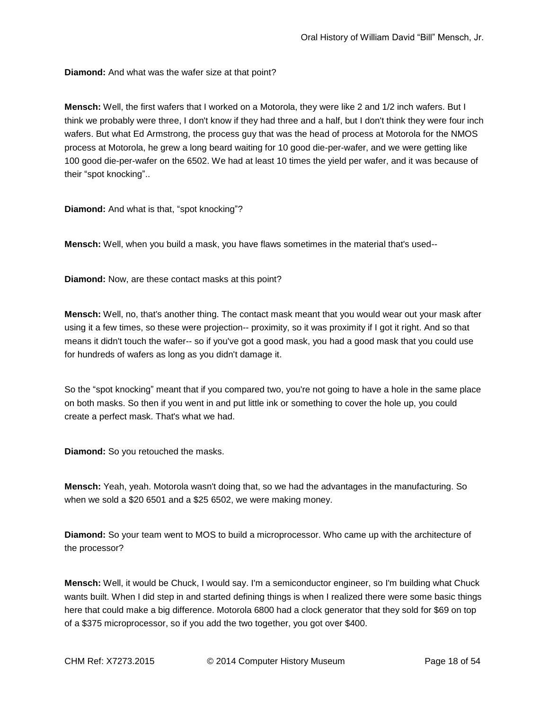**Diamond:** And what was the wafer size at that point?

**Mensch:** Well, the first wafers that I worked on a Motorola, they were like 2 and 1/2 inch wafers. But I think we probably were three, I don't know if they had three and a half, but I don't think they were four inch wafers. But what Ed Armstrong, the process guy that was the head of process at Motorola for the NMOS process at Motorola, he grew a long beard waiting for 10 good die-per-wafer, and we were getting like 100 good die-per-wafer on the 6502. We had at least 10 times the yield per wafer, and it was because of their "spot knocking"..

**Diamond:** And what is that, "spot knocking"?

**Mensch:** Well, when you build a mask, you have flaws sometimes in the material that's used--

**Diamond:** Now, are these contact masks at this point?

**Mensch:** Well, no, that's another thing. The contact mask meant that you would wear out your mask after using it a few times, so these were projection-- proximity, so it was proximity if I got it right. And so that means it didn't touch the wafer-- so if you've got a good mask, you had a good mask that you could use for hundreds of wafers as long as you didn't damage it.

So the "spot knocking" meant that if you compared two, you're not going to have a hole in the same place on both masks. So then if you went in and put little ink or something to cover the hole up, you could create a perfect mask. That's what we had.

**Diamond:** So you retouched the masks.

**Mensch:** Yeah, yeah. Motorola wasn't doing that, so we had the advantages in the manufacturing. So when we sold a \$20 6501 and a \$25 6502, we were making money.

**Diamond:** So your team went to MOS to build a microprocessor. Who came up with the architecture of the processor?

**Mensch:** Well, it would be Chuck, I would say. I'm a semiconductor engineer, so I'm building what Chuck wants built. When I did step in and started defining things is when I realized there were some basic things here that could make a big difference. Motorola 6800 had a clock generator that they sold for \$69 on top of a \$375 microprocessor, so if you add the two together, you got over \$400.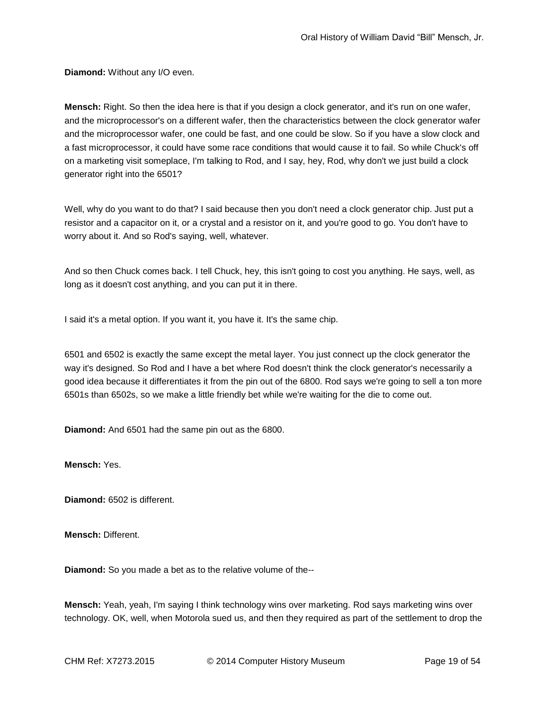**Diamond:** Without any I/O even.

**Mensch:** Right. So then the idea here is that if you design a clock generator, and it's run on one wafer, and the microprocessor's on a different wafer, then the characteristics between the clock generator wafer and the microprocessor wafer, one could be fast, and one could be slow. So if you have a slow clock and a fast microprocessor, it could have some race conditions that would cause it to fail. So while Chuck's off on a marketing visit someplace, I'm talking to Rod, and I say, hey, Rod, why don't we just build a clock generator right into the 6501?

Well, why do you want to do that? I said because then you don't need a clock generator chip. Just put a resistor and a capacitor on it, or a crystal and a resistor on it, and you're good to go. You don't have to worry about it. And so Rod's saying, well, whatever.

And so then Chuck comes back. I tell Chuck, hey, this isn't going to cost you anything. He says, well, as long as it doesn't cost anything, and you can put it in there.

I said it's a metal option. If you want it, you have it. It's the same chip.

6501 and 6502 is exactly the same except the metal layer. You just connect up the clock generator the way it's designed. So Rod and I have a bet where Rod doesn't think the clock generator's necessarily a good idea because it differentiates it from the pin out of the 6800. Rod says we're going to sell a ton more 6501s than 6502s, so we make a little friendly bet while we're waiting for the die to come out.

**Diamond:** And 6501 had the same pin out as the 6800.

**Mensch:** Yes.

**Diamond:** 6502 is different.

**Mensch:** Different.

**Diamond:** So you made a bet as to the relative volume of the--

**Mensch:** Yeah, yeah, I'm saying I think technology wins over marketing. Rod says marketing wins over technology. OK, well, when Motorola sued us, and then they required as part of the settlement to drop the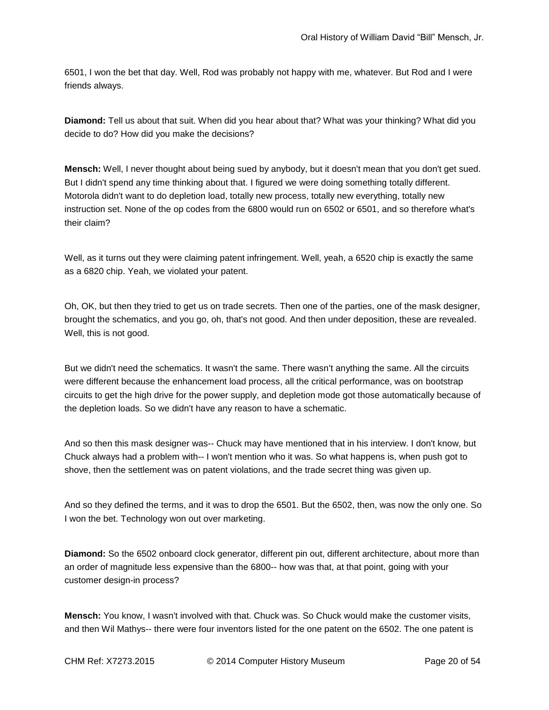6501, I won the bet that day. Well, Rod was probably not happy with me, whatever. But Rod and I were friends always.

**Diamond:** Tell us about that suit. When did you hear about that? What was your thinking? What did you decide to do? How did you make the decisions?

**Mensch:** Well, I never thought about being sued by anybody, but it doesn't mean that you don't get sued. But I didn't spend any time thinking about that. I figured we were doing something totally different. Motorola didn't want to do depletion load, totally new process, totally new everything, totally new instruction set. None of the op codes from the 6800 would run on 6502 or 6501, and so therefore what's their claim?

Well, as it turns out they were claiming patent infringement. Well, yeah, a 6520 chip is exactly the same as a 6820 chip. Yeah, we violated your patent.

Oh, OK, but then they tried to get us on trade secrets. Then one of the parties, one of the mask designer, brought the schematics, and you go, oh, that's not good. And then under deposition, these are revealed. Well, this is not good.

But we didn't need the schematics. It wasn't the same. There wasn't anything the same. All the circuits were different because the enhancement load process, all the critical performance, was on bootstrap circuits to get the high drive for the power supply, and depletion mode got those automatically because of the depletion loads. So we didn't have any reason to have a schematic.

And so then this mask designer was-- Chuck may have mentioned that in his interview. I don't know, but Chuck always had a problem with-- I won't mention who it was. So what happens is, when push got to shove, then the settlement was on patent violations, and the trade secret thing was given up.

And so they defined the terms, and it was to drop the 6501. But the 6502, then, was now the only one. So I won the bet. Technology won out over marketing.

**Diamond:** So the 6502 onboard clock generator, different pin out, different architecture, about more than an order of magnitude less expensive than the 6800-- how was that, at that point, going with your customer design-in process?

**Mensch:** You know, I wasn't involved with that. Chuck was. So Chuck would make the customer visits, and then Wil Mathys-- there were four inventors listed for the one patent on the 6502. The one patent is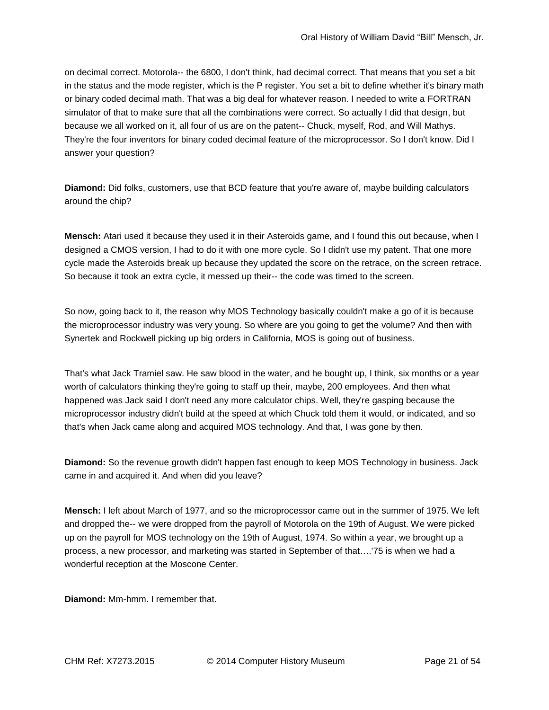on decimal correct. Motorola-- the 6800, I don't think, had decimal correct. That means that you set a bit in the status and the mode register, which is the P register. You set a bit to define whether it's binary math or binary coded decimal math. That was a big deal for whatever reason. I needed to write a FORTRAN simulator of that to make sure that all the combinations were correct. So actually I did that design, but because we all worked on it, all four of us are on the patent-- Chuck, myself, Rod, and Will Mathys. They're the four inventors for binary coded decimal feature of the microprocessor. So I don't know. Did I answer your question?

**Diamond:** Did folks, customers, use that BCD feature that you're aware of, maybe building calculators around the chip?

**Mensch:** Atari used it because they used it in their Asteroids game, and I found this out because, when I designed a CMOS version, I had to do it with one more cycle. So I didn't use my patent. That one more cycle made the Asteroids break up because they updated the score on the retrace, on the screen retrace. So because it took an extra cycle, it messed up their-- the code was timed to the screen.

So now, going back to it, the reason why MOS Technology basically couldn't make a go of it is because the microprocessor industry was very young. So where are you going to get the volume? And then with Synertek and Rockwell picking up big orders in California, MOS is going out of business.

That's what Jack Tramiel saw. He saw blood in the water, and he bought up, I think, six months or a year worth of calculators thinking they're going to staff up their, maybe, 200 employees. And then what happened was Jack said I don't need any more calculator chips. Well, they're gasping because the microprocessor industry didn't build at the speed at which Chuck told them it would, or indicated, and so that's when Jack came along and acquired MOS technology. And that, I was gone by then.

**Diamond:** So the revenue growth didn't happen fast enough to keep MOS Technology in business. Jack came in and acquired it. And when did you leave?

**Mensch:** I left about March of 1977, and so the microprocessor came out in the summer of 1975. We left and dropped the-- we were dropped from the payroll of Motorola on the 19th of August. We were picked up on the payroll for MOS technology on the 19th of August, 1974. So within a year, we brought up a process, a new processor, and marketing was started in September of that….'75 is when we had a wonderful reception at the Moscone Center.

**Diamond:** Mm-hmm. I remember that.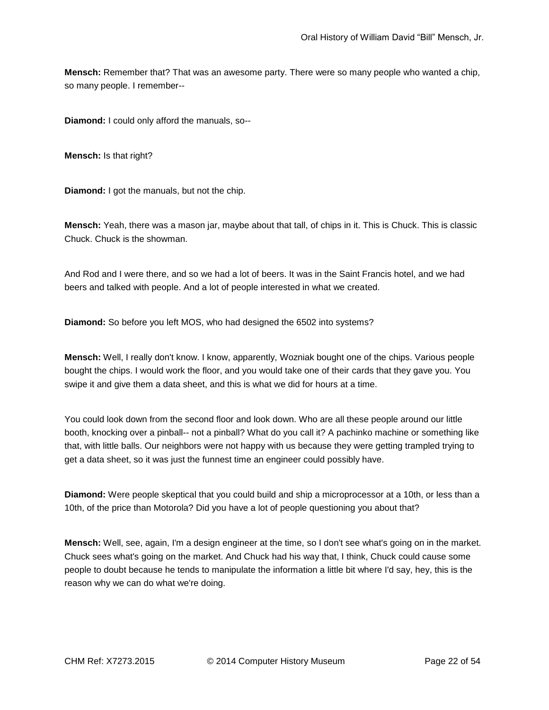**Mensch:** Remember that? That was an awesome party. There were so many people who wanted a chip, so many people. I remember--

**Diamond:** I could only afford the manuals, so--

**Mensch:** Is that right?

**Diamond:** I got the manuals, but not the chip.

**Mensch:** Yeah, there was a mason jar, maybe about that tall, of chips in it. This is Chuck. This is classic Chuck. Chuck is the showman.

And Rod and I were there, and so we had a lot of beers. It was in the Saint Francis hotel, and we had beers and talked with people. And a lot of people interested in what we created.

**Diamond:** So before you left MOS, who had designed the 6502 into systems?

**Mensch:** Well, I really don't know. I know, apparently, Wozniak bought one of the chips. Various people bought the chips. I would work the floor, and you would take one of their cards that they gave you. You swipe it and give them a data sheet, and this is what we did for hours at a time.

You could look down from the second floor and look down. Who are all these people around our little booth, knocking over a pinball-- not a pinball? What do you call it? A pachinko machine or something like that, with little balls. Our neighbors were not happy with us because they were getting trampled trying to get a data sheet, so it was just the funnest time an engineer could possibly have.

**Diamond:** Were people skeptical that you could build and ship a microprocessor at a 10th, or less than a 10th, of the price than Motorola? Did you have a lot of people questioning you about that?

**Mensch:** Well, see, again, I'm a design engineer at the time, so I don't see what's going on in the market. Chuck sees what's going on the market. And Chuck had his way that, I think, Chuck could cause some people to doubt because he tends to manipulate the information a little bit where I'd say, hey, this is the reason why we can do what we're doing.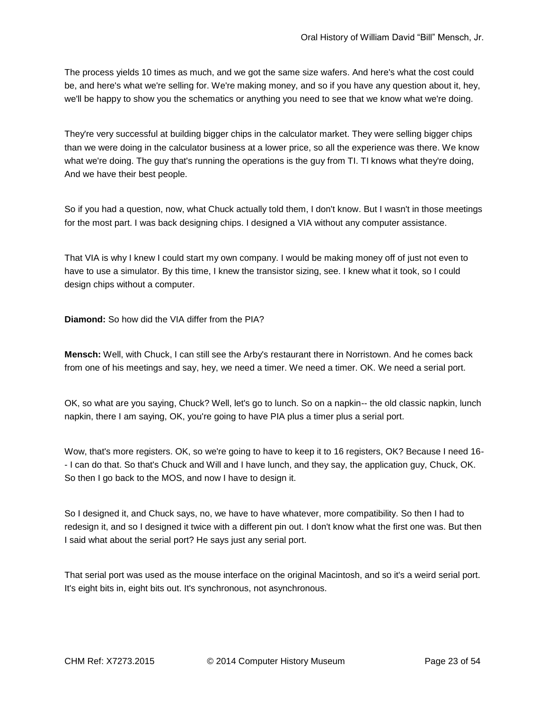The process yields 10 times as much, and we got the same size wafers. And here's what the cost could be, and here's what we're selling for. We're making money, and so if you have any question about it, hey, we'll be happy to show you the schematics or anything you need to see that we know what we're doing.

They're very successful at building bigger chips in the calculator market. They were selling bigger chips than we were doing in the calculator business at a lower price, so all the experience was there. We know what we're doing. The guy that's running the operations is the guy from TI. TI knows what they're doing, And we have their best people.

So if you had a question, now, what Chuck actually told them, I don't know. But I wasn't in those meetings for the most part. I was back designing chips. I designed a VIA without any computer assistance.

That VIA is why I knew I could start my own company. I would be making money off of just not even to have to use a simulator. By this time, I knew the transistor sizing, see. I knew what it took, so I could design chips without a computer.

**Diamond:** So how did the VIA differ from the PIA?

**Mensch:** Well, with Chuck, I can still see the Arby's restaurant there in Norristown. And he comes back from one of his meetings and say, hey, we need a timer. We need a timer. OK. We need a serial port.

OK, so what are you saying, Chuck? Well, let's go to lunch. So on a napkin-- the old classic napkin, lunch napkin, there I am saying, OK, you're going to have PIA plus a timer plus a serial port.

Wow, that's more registers. OK, so we're going to have to keep it to 16 registers, OK? Because I need 16- - I can do that. So that's Chuck and Will and I have lunch, and they say, the application guy, Chuck, OK. So then I go back to the MOS, and now I have to design it.

So I designed it, and Chuck says, no, we have to have whatever, more compatibility. So then I had to redesign it, and so I designed it twice with a different pin out. I don't know what the first one was. But then I said what about the serial port? He says just any serial port.

That serial port was used as the mouse interface on the original Macintosh, and so it's a weird serial port. It's eight bits in, eight bits out. It's synchronous, not asynchronous.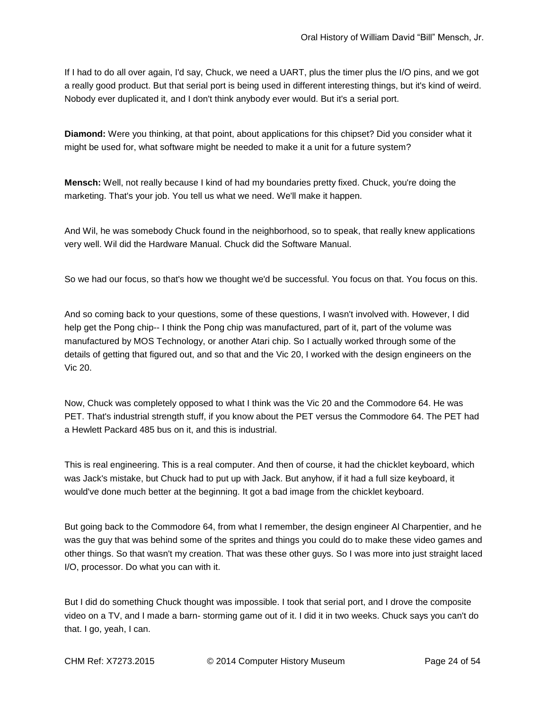If I had to do all over again, I'd say, Chuck, we need a UART, plus the timer plus the I/O pins, and we got a really good product. But that serial port is being used in different interesting things, but it's kind of weird. Nobody ever duplicated it, and I don't think anybody ever would. But it's a serial port.

**Diamond:** Were you thinking, at that point, about applications for this chipset? Did you consider what it might be used for, what software might be needed to make it a unit for a future system?

**Mensch:** Well, not really because I kind of had my boundaries pretty fixed. Chuck, you're doing the marketing. That's your job. You tell us what we need. We'll make it happen.

And Wil, he was somebody Chuck found in the neighborhood, so to speak, that really knew applications very well. Wil did the Hardware Manual. Chuck did the Software Manual.

So we had our focus, so that's how we thought we'd be successful. You focus on that. You focus on this.

And so coming back to your questions, some of these questions, I wasn't involved with. However, I did help get the Pong chip-- I think the Pong chip was manufactured, part of it, part of the volume was manufactured by MOS Technology, or another Atari chip. So I actually worked through some of the details of getting that figured out, and so that and the Vic 20, I worked with the design engineers on the Vic 20.

Now, Chuck was completely opposed to what I think was the Vic 20 and the Commodore 64. He was PET. That's industrial strength stuff, if you know about the PET versus the Commodore 64. The PET had a Hewlett Packard 485 bus on it, and this is industrial.

This is real engineering. This is a real computer. And then of course, it had the chicklet keyboard, which was Jack's mistake, but Chuck had to put up with Jack. But anyhow, if it had a full size keyboard, it would've done much better at the beginning. It got a bad image from the chicklet keyboard.

But going back to the Commodore 64, from what I remember, the design engineer Al Charpentier, and he was the guy that was behind some of the sprites and things you could do to make these video games and other things. So that wasn't my creation. That was these other guys. So I was more into just straight laced I/O, processor. Do what you can with it.

But I did do something Chuck thought was impossible. I took that serial port, and I drove the composite video on a TV, and I made a barn- storming game out of it. I did it in two weeks. Chuck says you can't do that. I go, yeah, I can.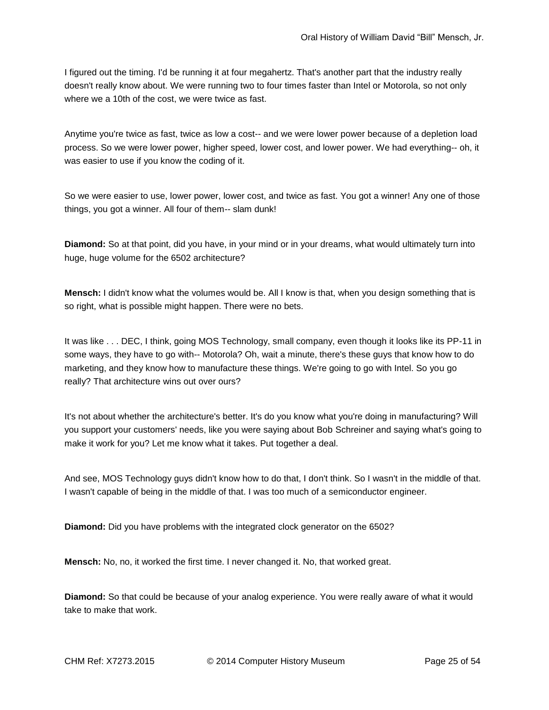I figured out the timing. I'd be running it at four megahertz. That's another part that the industry really doesn't really know about. We were running two to four times faster than Intel or Motorola, so not only where we a 10th of the cost, we were twice as fast.

Anytime you're twice as fast, twice as low a cost-- and we were lower power because of a depletion load process. So we were lower power, higher speed, lower cost, and lower power. We had everything-- oh, it was easier to use if you know the coding of it.

So we were easier to use, lower power, lower cost, and twice as fast. You got a winner! Any one of those things, you got a winner. All four of them-- slam dunk!

**Diamond:** So at that point, did you have, in your mind or in your dreams, what would ultimately turn into huge, huge volume for the 6502 architecture?

**Mensch:** I didn't know what the volumes would be. All I know is that, when you design something that is so right, what is possible might happen. There were no bets.

It was like . . . DEC, I think, going MOS Technology, small company, even though it looks like its PP-11 in some ways, they have to go with-- Motorola? Oh, wait a minute, there's these guys that know how to do marketing, and they know how to manufacture these things. We're going to go with Intel. So you go really? That architecture wins out over ours?

It's not about whether the architecture's better. It's do you know what you're doing in manufacturing? Will you support your customers' needs, like you were saying about Bob Schreiner and saying what's going to make it work for you? Let me know what it takes. Put together a deal.

And see, MOS Technology guys didn't know how to do that, I don't think. So I wasn't in the middle of that. I wasn't capable of being in the middle of that. I was too much of a semiconductor engineer.

**Diamond:** Did you have problems with the integrated clock generator on the 6502?

**Mensch:** No, no, it worked the first time. I never changed it. No, that worked great.

**Diamond:** So that could be because of your analog experience. You were really aware of what it would take to make that work.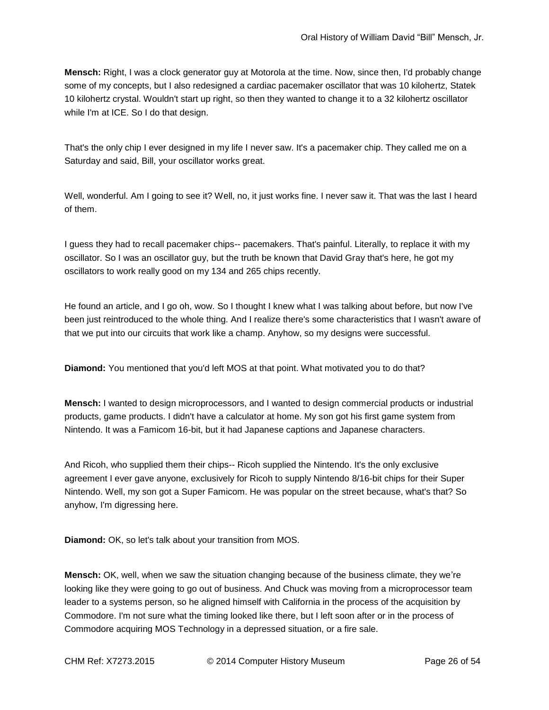**Mensch:** Right, I was a clock generator guy at Motorola at the time. Now, since then, I'd probably change some of my concepts, but I also redesigned a cardiac pacemaker oscillator that was 10 kilohertz, Statek 10 kilohertz crystal. Wouldn't start up right, so then they wanted to change it to a 32 kilohertz oscillator while I'm at ICE. So I do that design.

That's the only chip I ever designed in my life I never saw. It's a pacemaker chip. They called me on a Saturday and said, Bill, your oscillator works great.

Well, wonderful. Am I going to see it? Well, no, it just works fine. I never saw it. That was the last I heard of them.

I guess they had to recall pacemaker chips-- pacemakers. That's painful. Literally, to replace it with my oscillator. So I was an oscillator guy, but the truth be known that David Gray that's here, he got my oscillators to work really good on my 134 and 265 chips recently.

He found an article, and I go oh, wow. So I thought I knew what I was talking about before, but now I've been just reintroduced to the whole thing. And I realize there's some characteristics that I wasn't aware of that we put into our circuits that work like a champ. Anyhow, so my designs were successful.

**Diamond:** You mentioned that you'd left MOS at that point. What motivated you to do that?

**Mensch:** I wanted to design microprocessors, and I wanted to design commercial products or industrial products, game products. I didn't have a calculator at home. My son got his first game system from Nintendo. It was a Famicom 16-bit, but it had Japanese captions and Japanese characters.

And Ricoh, who supplied them their chips-- Ricoh supplied the Nintendo. It's the only exclusive agreement I ever gave anyone, exclusively for Ricoh to supply Nintendo 8/16-bit chips for their Super Nintendo. Well, my son got a Super Famicom. He was popular on the street because, what's that? So anyhow, I'm digressing here.

**Diamond:** OK, so let's talk about your transition from MOS.

**Mensch:** OK, well, when we saw the situation changing because of the business climate, they we're looking like they were going to go out of business. And Chuck was moving from a microprocessor team leader to a systems person, so he aligned himself with California in the process of the acquisition by Commodore. I'm not sure what the timing looked like there, but I left soon after or in the process of Commodore acquiring MOS Technology in a depressed situation, or a fire sale.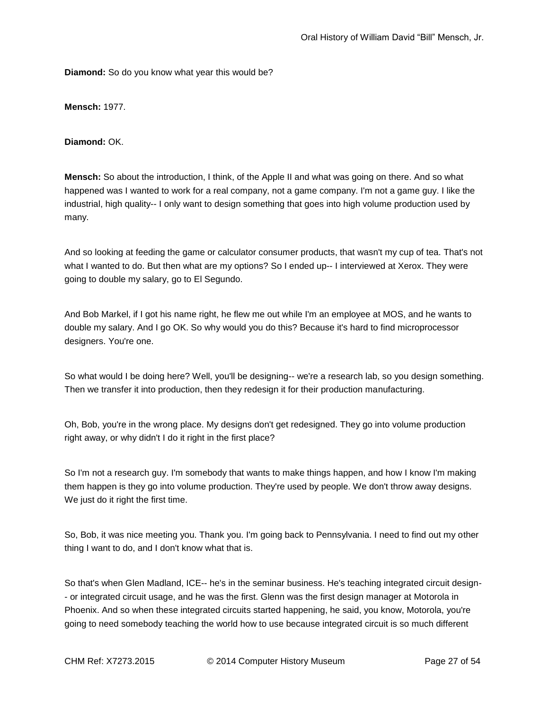**Diamond:** So do you know what year this would be?

**Mensch:** 1977.

**Diamond:** OK.

**Mensch:** So about the introduction, I think, of the Apple II and what was going on there. And so what happened was I wanted to work for a real company, not a game company. I'm not a game guy. I like the industrial, high quality-- I only want to design something that goes into high volume production used by many.

And so looking at feeding the game or calculator consumer products, that wasn't my cup of tea. That's not what I wanted to do. But then what are my options? So I ended up-- I interviewed at Xerox. They were going to double my salary, go to El Segundo.

And Bob Markel, if I got his name right, he flew me out while I'm an employee at MOS, and he wants to double my salary. And I go OK. So why would you do this? Because it's hard to find microprocessor designers. You're one.

So what would I be doing here? Well, you'll be designing-- we're a research lab, so you design something. Then we transfer it into production, then they redesign it for their production manufacturing.

Oh, Bob, you're in the wrong place. My designs don't get redesigned. They go into volume production right away, or why didn't I do it right in the first place?

So I'm not a research guy. I'm somebody that wants to make things happen, and how I know I'm making them happen is they go into volume production. They're used by people. We don't throw away designs. We just do it right the first time.

So, Bob, it was nice meeting you. Thank you. I'm going back to Pennsylvania. I need to find out my other thing I want to do, and I don't know what that is.

So that's when Glen Madland, ICE-- he's in the seminar business. He's teaching integrated circuit design- - or integrated circuit usage, and he was the first. Glenn was the first design manager at Motorola in Phoenix. And so when these integrated circuits started happening, he said, you know, Motorola, you're going to need somebody teaching the world how to use because integrated circuit is so much different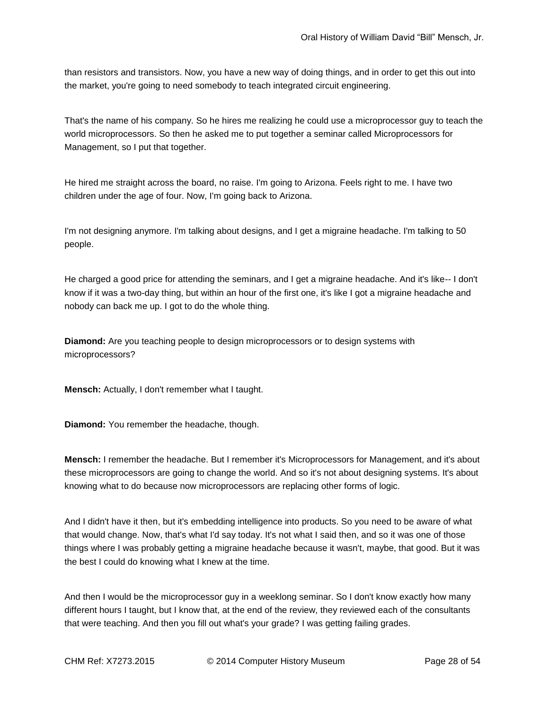than resistors and transistors. Now, you have a new way of doing things, and in order to get this out into the market, you're going to need somebody to teach integrated circuit engineering.

That's the name of his company. So he hires me realizing he could use a microprocessor guy to teach the world microprocessors. So then he asked me to put together a seminar called Microprocessors for Management, so I put that together.

He hired me straight across the board, no raise. I'm going to Arizona. Feels right to me. I have two children under the age of four. Now, I'm going back to Arizona.

I'm not designing anymore. I'm talking about designs, and I get a migraine headache. I'm talking to 50 people.

He charged a good price for attending the seminars, and I get a migraine headache. And it's like-- I don't know if it was a two-day thing, but within an hour of the first one, it's like I got a migraine headache and nobody can back me up. I got to do the whole thing.

**Diamond:** Are you teaching people to design microprocessors or to design systems with microprocessors?

**Mensch:** Actually, I don't remember what I taught.

**Diamond:** You remember the headache, though.

**Mensch:** I remember the headache. But I remember it's Microprocessors for Management, and it's about these microprocessors are going to change the world. And so it's not about designing systems. It's about knowing what to do because now microprocessors are replacing other forms of logic.

And I didn't have it then, but it's embedding intelligence into products. So you need to be aware of what that would change. Now, that's what I'd say today. It's not what I said then, and so it was one of those things where I was probably getting a migraine headache because it wasn't, maybe, that good. But it was the best I could do knowing what I knew at the time.

And then I would be the microprocessor guy in a weeklong seminar. So I don't know exactly how many different hours I taught, but I know that, at the end of the review, they reviewed each of the consultants that were teaching. And then you fill out what's your grade? I was getting failing grades.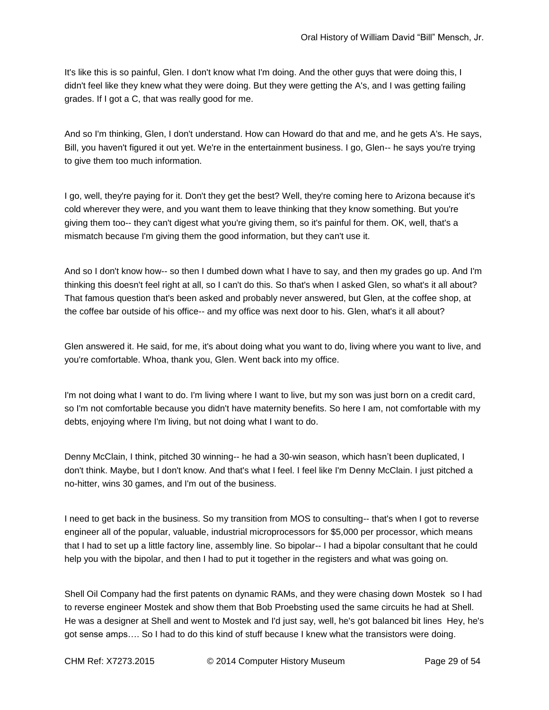It's like this is so painful, Glen. I don't know what I'm doing. And the other guys that were doing this, I didn't feel like they knew what they were doing. But they were getting the A's, and I was getting failing grades. If I got a C, that was really good for me.

And so I'm thinking, Glen, I don't understand. How can Howard do that and me, and he gets A's. He says, Bill, you haven't figured it out yet. We're in the entertainment business. I go, Glen-- he says you're trying to give them too much information.

I go, well, they're paying for it. Don't they get the best? Well, they're coming here to Arizona because it's cold wherever they were, and you want them to leave thinking that they know something. But you're giving them too-- they can't digest what you're giving them, so it's painful for them. OK, well, that's a mismatch because I'm giving them the good information, but they can't use it.

And so I don't know how-- so then I dumbed down what I have to say, and then my grades go up. And I'm thinking this doesn't feel right at all, so I can't do this. So that's when I asked Glen, so what's it all about? That famous question that's been asked and probably never answered, but Glen, at the coffee shop, at the coffee bar outside of his office-- and my office was next door to his. Glen, what's it all about?

Glen answered it. He said, for me, it's about doing what you want to do, living where you want to live, and you're comfortable. Whoa, thank you, Glen. Went back into my office.

I'm not doing what I want to do. I'm living where I want to live, but my son was just born on a credit card, so I'm not comfortable because you didn't have maternity benefits. So here I am, not comfortable with my debts, enjoying where I'm living, but not doing what I want to do.

Denny McClain, I think, pitched 30 winning-- he had a 30-win season, which hasn't been duplicated, I don't think. Maybe, but I don't know. And that's what I feel. I feel like I'm Denny McClain. I just pitched a no-hitter, wins 30 games, and I'm out of the business.

I need to get back in the business. So my transition from MOS to consulting-- that's when I got to reverse engineer all of the popular, valuable, industrial microprocessors for \$5,000 per processor, which means that I had to set up a little factory line, assembly line. So bipolar-- I had a bipolar consultant that he could help you with the bipolar, and then I had to put it together in the registers and what was going on.

Shell Oil Company had the first patents on dynamic RAMs, and they were chasing down Mostek so I had to reverse engineer Mostek and show them that Bob Proebsting used the same circuits he had at Shell. He was a designer at Shell and went to Mostek and I'd just say, well, he's got balanced bit lines Hey, he's got sense amps…. So I had to do this kind of stuff because I knew what the transistors were doing.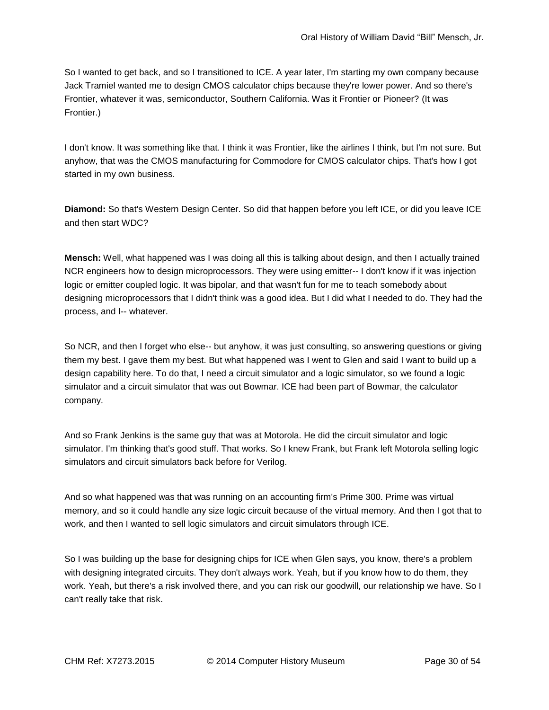So I wanted to get back, and so I transitioned to ICE. A year later, I'm starting my own company because Jack Tramiel wanted me to design CMOS calculator chips because they're lower power. And so there's Frontier, whatever it was, semiconductor, Southern California. Was it Frontier or Pioneer? (It was Frontier.)

I don't know. It was something like that. I think it was Frontier, like the airlines I think, but I'm not sure. But anyhow, that was the CMOS manufacturing for Commodore for CMOS calculator chips. That's how I got started in my own business.

**Diamond:** So that's Western Design Center. So did that happen before you left ICE, or did you leave ICE and then start WDC?

**Mensch:** Well, what happened was I was doing all this is talking about design, and then I actually trained NCR engineers how to design microprocessors. They were using emitter-- I don't know if it was injection logic or emitter coupled logic. It was bipolar, and that wasn't fun for me to teach somebody about designing microprocessors that I didn't think was a good idea. But I did what I needed to do. They had the process, and I-- whatever.

So NCR, and then I forget who else-- but anyhow, it was just consulting, so answering questions or giving them my best. I gave them my best. But what happened was I went to Glen and said I want to build up a design capability here. To do that, I need a circuit simulator and a logic simulator, so we found a logic simulator and a circuit simulator that was out Bowmar. ICE had been part of Bowmar, the calculator company.

And so Frank Jenkins is the same guy that was at Motorola. He did the circuit simulator and logic simulator. I'm thinking that's good stuff. That works. So I knew Frank, but Frank left Motorola selling logic simulators and circuit simulators back before for Verilog.

And so what happened was that was running on an accounting firm's Prime 300. Prime was virtual memory, and so it could handle any size logic circuit because of the virtual memory. And then I got that to work, and then I wanted to sell logic simulators and circuit simulators through ICE.

So I was building up the base for designing chips for ICE when Glen says, you know, there's a problem with designing integrated circuits. They don't always work. Yeah, but if you know how to do them, they work. Yeah, but there's a risk involved there, and you can risk our goodwill, our relationship we have. So I can't really take that risk.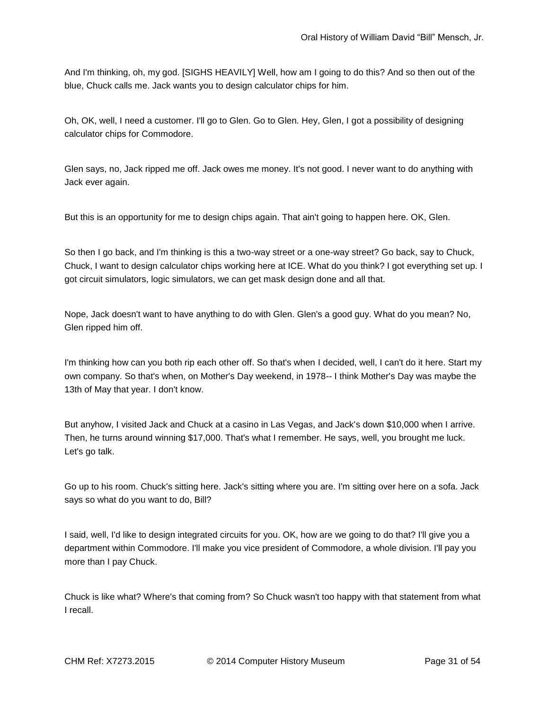And I'm thinking, oh, my god. [SIGHS HEAVILY] Well, how am I going to do this? And so then out of the blue, Chuck calls me. Jack wants you to design calculator chips for him.

Oh, OK, well, I need a customer. I'll go to Glen. Go to Glen. Hey, Glen, I got a possibility of designing calculator chips for Commodore.

Glen says, no, Jack ripped me off. Jack owes me money. It's not good. I never want to do anything with Jack ever again.

But this is an opportunity for me to design chips again. That ain't going to happen here. OK, Glen.

So then I go back, and I'm thinking is this a two-way street or a one-way street? Go back, say to Chuck, Chuck, I want to design calculator chips working here at ICE. What do you think? I got everything set up. I got circuit simulators, logic simulators, we can get mask design done and all that.

Nope, Jack doesn't want to have anything to do with Glen. Glen's a good guy. What do you mean? No, Glen ripped him off.

I'm thinking how can you both rip each other off. So that's when I decided, well, I can't do it here. Start my own company. So that's when, on Mother's Day weekend, in 1978-- I think Mother's Day was maybe the 13th of May that year. I don't know.

But anyhow, I visited Jack and Chuck at a casino in Las Vegas, and Jack's down \$10,000 when I arrive. Then, he turns around winning \$17,000. That's what I remember. He says, well, you brought me luck. Let's go talk.

Go up to his room. Chuck's sitting here. Jack's sitting where you are. I'm sitting over here on a sofa. Jack says so what do you want to do, Bill?

I said, well, I'd like to design integrated circuits for you. OK, how are we going to do that? I'll give you a department within Commodore. I'll make you vice president of Commodore, a whole division. I'll pay you more than I pay Chuck.

Chuck is like what? Where's that coming from? So Chuck wasn't too happy with that statement from what I recall.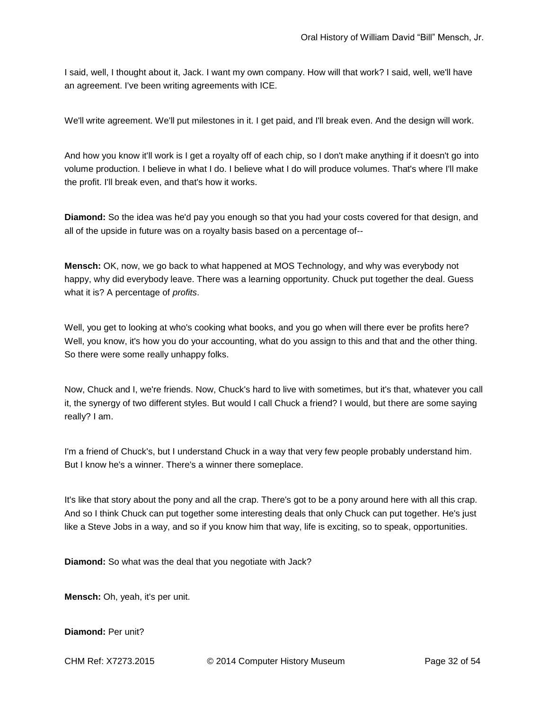I said, well, I thought about it, Jack. I want my own company. How will that work? I said, well, we'll have an agreement. I've been writing agreements with ICE.

We'll write agreement. We'll put milestones in it. I get paid, and I'll break even. And the design will work.

And how you know it'll work is I get a royalty off of each chip, so I don't make anything if it doesn't go into volume production. I believe in what I do. I believe what I do will produce volumes. That's where I'll make the profit. I'll break even, and that's how it works.

**Diamond:** So the idea was he'd pay you enough so that you had your costs covered for that design, and all of the upside in future was on a royalty basis based on a percentage of--

**Mensch:** OK, now, we go back to what happened at MOS Technology, and why was everybody not happy, why did everybody leave. There was a learning opportunity. Chuck put together the deal. Guess what it is? A percentage of *profits*.

Well, you get to looking at who's cooking what books, and you go when will there ever be profits here? Well, you know, it's how you do your accounting, what do you assign to this and that and the other thing. So there were some really unhappy folks.

Now, Chuck and I, we're friends. Now, Chuck's hard to live with sometimes, but it's that, whatever you call it, the synergy of two different styles. But would I call Chuck a friend? I would, but there are some saying really? I am.

I'm a friend of Chuck's, but I understand Chuck in a way that very few people probably understand him. But I know he's a winner. There's a winner there someplace.

It's like that story about the pony and all the crap. There's got to be a pony around here with all this crap. And so I think Chuck can put together some interesting deals that only Chuck can put together. He's just like a Steve Jobs in a way, and so if you know him that way, life is exciting, so to speak, opportunities.

**Diamond:** So what was the deal that you negotiate with Jack?

**Mensch:** Oh, yeah, it's per unit.

**Diamond:** Per unit?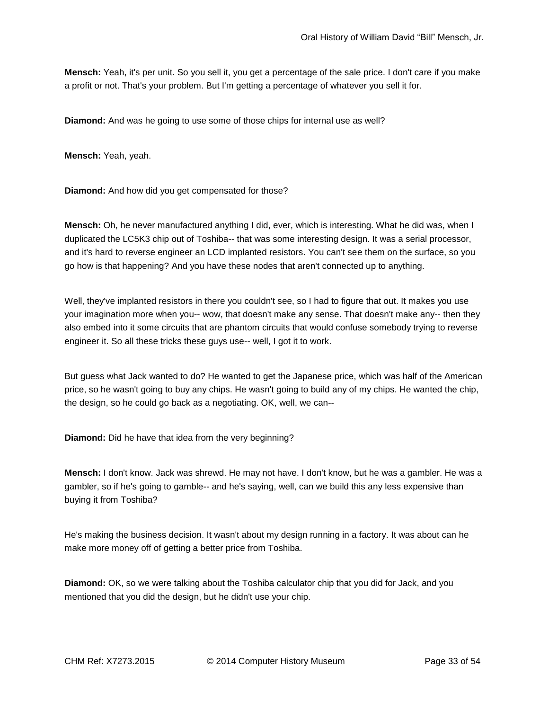**Mensch:** Yeah, it's per unit. So you sell it, you get a percentage of the sale price. I don't care if you make a profit or not. That's your problem. But I'm getting a percentage of whatever you sell it for.

**Diamond:** And was he going to use some of those chips for internal use as well?

**Mensch:** Yeah, yeah.

**Diamond:** And how did you get compensated for those?

**Mensch:** Oh, he never manufactured anything I did, ever, which is interesting. What he did was, when I duplicated the LC5K3 chip out of Toshiba-- that was some interesting design. It was a serial processor, and it's hard to reverse engineer an LCD implanted resistors. You can't see them on the surface, so you go how is that happening? And you have these nodes that aren't connected up to anything.

Well, they've implanted resistors in there you couldn't see, so I had to figure that out. It makes you use your imagination more when you-- wow, that doesn't make any sense. That doesn't make any-- then they also embed into it some circuits that are phantom circuits that would confuse somebody trying to reverse engineer it. So all these tricks these guys use-- well, I got it to work.

But guess what Jack wanted to do? He wanted to get the Japanese price, which was half of the American price, so he wasn't going to buy any chips. He wasn't going to build any of my chips. He wanted the chip, the design, so he could go back as a negotiating. OK, well, we can--

**Diamond:** Did he have that idea from the very beginning?

**Mensch:** I don't know. Jack was shrewd. He may not have. I don't know, but he was a gambler. He was a gambler, so if he's going to gamble-- and he's saying, well, can we build this any less expensive than buying it from Toshiba?

He's making the business decision. It wasn't about my design running in a factory. It was about can he make more money off of getting a better price from Toshiba.

**Diamond:** OK, so we were talking about the Toshiba calculator chip that you did for Jack, and you mentioned that you did the design, but he didn't use your chip.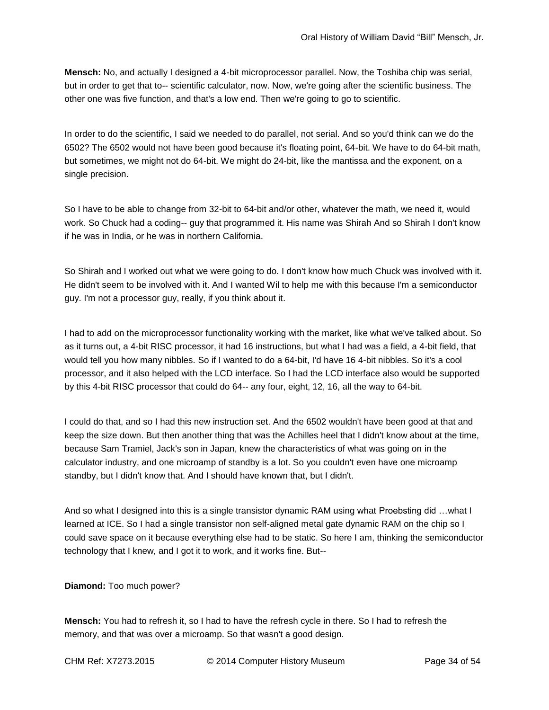**Mensch:** No, and actually I designed a 4-bit microprocessor parallel. Now, the Toshiba chip was serial, but in order to get that to-- scientific calculator, now. Now, we're going after the scientific business. The other one was five function, and that's a low end. Then we're going to go to scientific.

In order to do the scientific, I said we needed to do parallel, not serial. And so you'd think can we do the 6502? The 6502 would not have been good because it's floating point, 64-bit. We have to do 64-bit math, but sometimes, we might not do 64-bit. We might do 24-bit, like the mantissa and the exponent, on a single precision.

So I have to be able to change from 32-bit to 64-bit and/or other, whatever the math, we need it, would work. So Chuck had a coding-- guy that programmed it. His name was Shirah And so Shirah I don't know if he was in India, or he was in northern California.

So Shirah and I worked out what we were going to do. I don't know how much Chuck was involved with it. He didn't seem to be involved with it. And I wanted Wil to help me with this because I'm a semiconductor guy. I'm not a processor guy, really, if you think about it.

I had to add on the microprocessor functionality working with the market, like what we've talked about. So as it turns out, a 4-bit RISC processor, it had 16 instructions, but what I had was a field, a 4-bit field, that would tell you how many nibbles. So if I wanted to do a 64-bit, I'd have 16 4-bit nibbles. So it's a cool processor, and it also helped with the LCD interface. So I had the LCD interface also would be supported by this 4-bit RISC processor that could do 64-- any four, eight, 12, 16, all the way to 64-bit.

I could do that, and so I had this new instruction set. And the 6502 wouldn't have been good at that and keep the size down. But then another thing that was the Achilles heel that I didn't know about at the time, because Sam Tramiel, Jack's son in Japan, knew the characteristics of what was going on in the calculator industry, and one microamp of standby is a lot. So you couldn't even have one microamp standby, but I didn't know that. And I should have known that, but I didn't.

And so what I designed into this is a single transistor dynamic RAM using what Proebsting did …what I learned at ICE. So I had a single transistor non self-aligned metal gate dynamic RAM on the chip so I could save space on it because everything else had to be static. So here I am, thinking the semiconductor technology that I knew, and I got it to work, and it works fine. But--

**Diamond:** Too much power?

**Mensch:** You had to refresh it, so I had to have the refresh cycle in there. So I had to refresh the memory, and that was over a microamp. So that wasn't a good design.

CHM Ref: X7273.2015 © 2014 Computer History Museum Page 34 of 54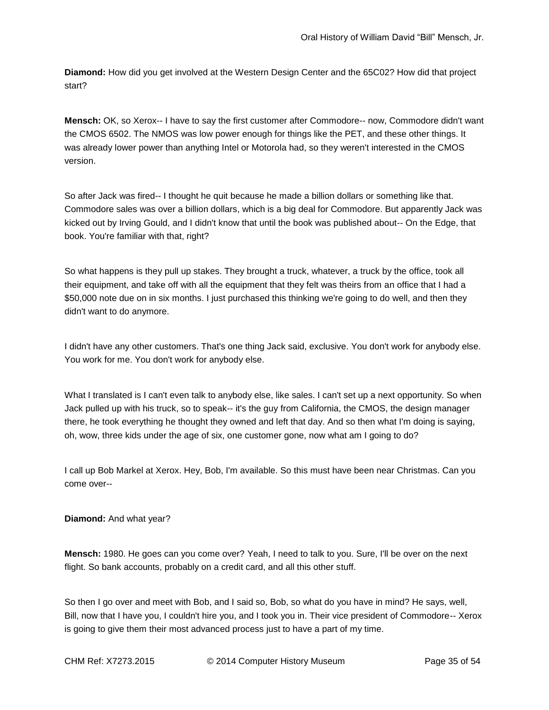**Diamond:** How did you get involved at the Western Design Center and the 65C02? How did that project start?

**Mensch:** OK, so Xerox-- I have to say the first customer after Commodore-- now, Commodore didn't want the CMOS 6502. The NMOS was low power enough for things like the PET, and these other things. It was already lower power than anything Intel or Motorola had, so they weren't interested in the CMOS version.

So after Jack was fired-- I thought he quit because he made a billion dollars or something like that. Commodore sales was over a billion dollars, which is a big deal for Commodore. But apparently Jack was kicked out by Irving Gould, and I didn't know that until the book was published about-- On the Edge, that book. You're familiar with that, right?

So what happens is they pull up stakes. They brought a truck, whatever, a truck by the office, took all their equipment, and take off with all the equipment that they felt was theirs from an office that I had a \$50,000 note due on in six months. I just purchased this thinking we're going to do well, and then they didn't want to do anymore.

I didn't have any other customers. That's one thing Jack said, exclusive. You don't work for anybody else. You work for me. You don't work for anybody else.

What I translated is I can't even talk to anybody else, like sales. I can't set up a next opportunity. So when Jack pulled up with his truck, so to speak-- it's the guy from California, the CMOS, the design manager there, he took everything he thought they owned and left that day. And so then what I'm doing is saying, oh, wow, three kids under the age of six, one customer gone, now what am I going to do?

I call up Bob Markel at Xerox. Hey, Bob, I'm available. So this must have been near Christmas. Can you come over--

**Diamond:** And what year?

**Mensch:** 1980. He goes can you come over? Yeah, I need to talk to you. Sure, I'll be over on the next flight. So bank accounts, probably on a credit card, and all this other stuff.

So then I go over and meet with Bob, and I said so, Bob, so what do you have in mind? He says, well, Bill, now that I have you, I couldn't hire you, and I took you in. Their vice president of Commodore-- Xerox is going to give them their most advanced process just to have a part of my time.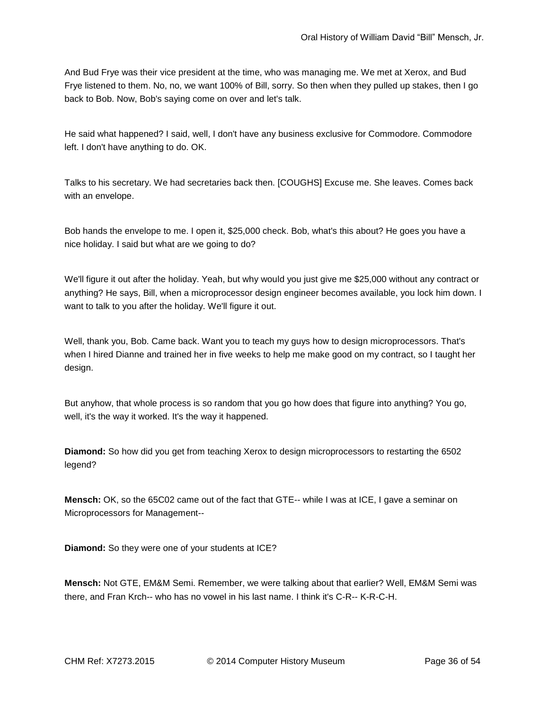And Bud Frye was their vice president at the time, who was managing me. We met at Xerox, and Bud Frye listened to them. No, no, we want 100% of Bill, sorry. So then when they pulled up stakes, then I go back to Bob. Now, Bob's saying come on over and let's talk.

He said what happened? I said, well, I don't have any business exclusive for Commodore. Commodore left. I don't have anything to do. OK.

Talks to his secretary. We had secretaries back then. [COUGHS] Excuse me. She leaves. Comes back with an envelope.

Bob hands the envelope to me. I open it, \$25,000 check. Bob, what's this about? He goes you have a nice holiday. I said but what are we going to do?

We'll figure it out after the holiday. Yeah, but why would you just give me \$25,000 without any contract or anything? He says, Bill, when a microprocessor design engineer becomes available, you lock him down. I want to talk to you after the holiday. We'll figure it out.

Well, thank you, Bob. Came back. Want you to teach my guys how to design microprocessors. That's when I hired Dianne and trained her in five weeks to help me make good on my contract, so I taught her design.

But anyhow, that whole process is so random that you go how does that figure into anything? You go, well, it's the way it worked. It's the way it happened.

**Diamond:** So how did you get from teaching Xerox to design microprocessors to restarting the 6502 legend?

**Mensch:** OK, so the 65C02 came out of the fact that GTE-- while I was at ICE, I gave a seminar on Microprocessors for Management--

**Diamond:** So they were one of your students at ICE?

**Mensch:** Not GTE, EM&M Semi. Remember, we were talking about that earlier? Well, EM&M Semi was there, and Fran Krch-- who has no vowel in his last name. I think it's C-R-- K-R-C-H.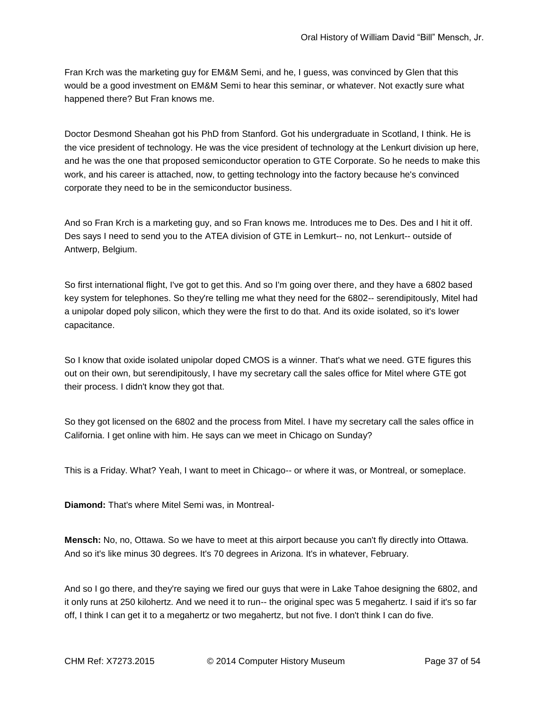Fran Krch was the marketing guy for EM&M Semi, and he, I guess, was convinced by Glen that this would be a good investment on EM&M Semi to hear this seminar, or whatever. Not exactly sure what happened there? But Fran knows me.

Doctor Desmond Sheahan got his PhD from Stanford. Got his undergraduate in Scotland, I think. He is the vice president of technology. He was the vice president of technology at the Lenkurt division up here, and he was the one that proposed semiconductor operation to GTE Corporate. So he needs to make this work, and his career is attached, now, to getting technology into the factory because he's convinced corporate they need to be in the semiconductor business.

And so Fran Krch is a marketing guy, and so Fran knows me. Introduces me to Des. Des and I hit it off. Des says I need to send you to the ATEA division of GTE in Lemkurt-- no, not Lenkurt-- outside of Antwerp, Belgium.

So first international flight, I've got to get this. And so I'm going over there, and they have a 6802 based key system for telephones. So they're telling me what they need for the 6802-- serendipitously, Mitel had a unipolar doped poly silicon, which they were the first to do that. And its oxide isolated, so it's lower capacitance.

So I know that oxide isolated unipolar doped CMOS is a winner. That's what we need. GTE figures this out on their own, but serendipitously, I have my secretary call the sales office for Mitel where GTE got their process. I didn't know they got that.

So they got licensed on the 6802 and the process from Mitel. I have my secretary call the sales office in California. I get online with him. He says can we meet in Chicago on Sunday?

This is a Friday. What? Yeah, I want to meet in Chicago-- or where it was, or Montreal, or someplace.

**Diamond:** That's where Mitel Semi was, in Montreal-

**Mensch:** No, no, Ottawa. So we have to meet at this airport because you can't fly directly into Ottawa. And so it's like minus 30 degrees. It's 70 degrees in Arizona. It's in whatever, February.

And so I go there, and they're saying we fired our guys that were in Lake Tahoe designing the 6802, and it only runs at 250 kilohertz. And we need it to run-- the original spec was 5 megahertz. I said if it's so far off, I think I can get it to a megahertz or two megahertz, but not five. I don't think I can do five.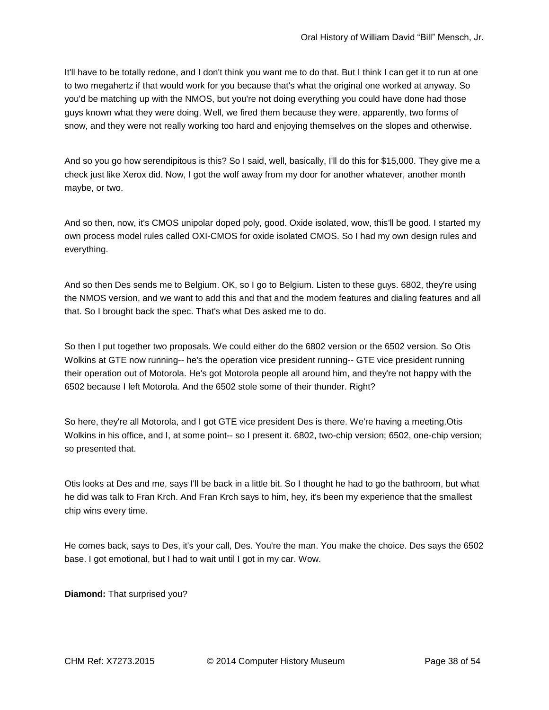It'll have to be totally redone, and I don't think you want me to do that. But I think I can get it to run at one to two megahertz if that would work for you because that's what the original one worked at anyway. So you'd be matching up with the NMOS, but you're not doing everything you could have done had those guys known what they were doing. Well, we fired them because they were, apparently, two forms of snow, and they were not really working too hard and enjoying themselves on the slopes and otherwise.

And so you go how serendipitous is this? So I said, well, basically, I'll do this for \$15,000. They give me a check just like Xerox did. Now, I got the wolf away from my door for another whatever, another month maybe, or two.

And so then, now, it's CMOS unipolar doped poly, good. Oxide isolated, wow, this'll be good. I started my own process model rules called OXI-CMOS for oxide isolated CMOS. So I had my own design rules and everything.

And so then Des sends me to Belgium. OK, so I go to Belgium. Listen to these guys. 6802, they're using the NMOS version, and we want to add this and that and the modem features and dialing features and all that. So I brought back the spec. That's what Des asked me to do.

So then I put together two proposals. We could either do the 6802 version or the 6502 version. So Otis Wolkins at GTE now running-- he's the operation vice president running-- GTE vice president running their operation out of Motorola. He's got Motorola people all around him, and they're not happy with the 6502 because I left Motorola. And the 6502 stole some of their thunder. Right?

So here, they're all Motorola, and I got GTE vice president Des is there. We're having a meeting.Otis Wolkins in his office, and I, at some point-- so I present it. 6802, two-chip version; 6502, one-chip version; so presented that.

Otis looks at Des and me, says I'll be back in a little bit. So I thought he had to go the bathroom, but what he did was talk to Fran Krch. And Fran Krch says to him, hey, it's been my experience that the smallest chip wins every time.

He comes back, says to Des, it's your call, Des. You're the man. You make the choice. Des says the 6502 base. I got emotional, but I had to wait until I got in my car. Wow.

**Diamond:** That surprised you?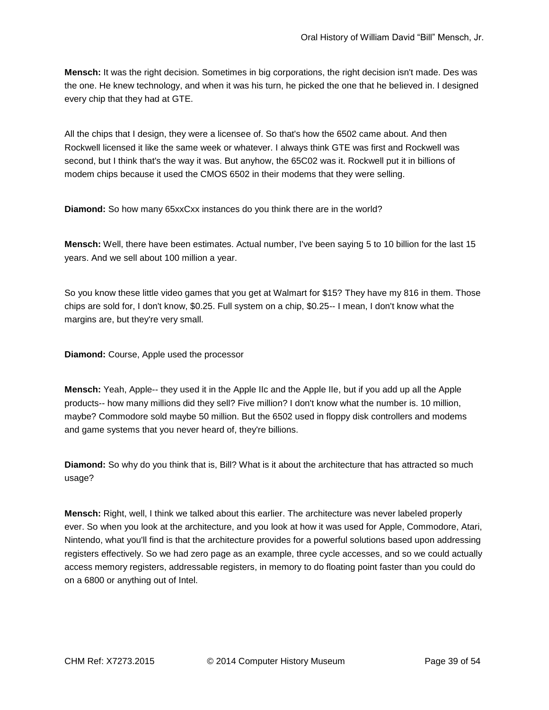**Mensch:** It was the right decision. Sometimes in big corporations, the right decision isn't made. Des was the one. He knew technology, and when it was his turn, he picked the one that he believed in. I designed every chip that they had at GTE.

All the chips that I design, they were a licensee of. So that's how the 6502 came about. And then Rockwell licensed it like the same week or whatever. I always think GTE was first and Rockwell was second, but I think that's the way it was. But anyhow, the 65C02 was it. Rockwell put it in billions of modem chips because it used the CMOS 6502 in their modems that they were selling.

**Diamond:** So how many 65xxCxx instances do you think there are in the world?

**Mensch:** Well, there have been estimates. Actual number, I've been saying 5 to 10 billion for the last 15 years. And we sell about 100 million a year.

So you know these little video games that you get at Walmart for \$15? They have my 816 in them. Those chips are sold for, I don't know, \$0.25. Full system on a chip, \$0.25-- I mean, I don't know what the margins are, but they're very small.

**Diamond:** Course, Apple used the processor

**Mensch:** Yeah, Apple-- they used it in the Apple IIc and the Apple IIe, but if you add up all the Apple products-- how many millions did they sell? Five million? I don't know what the number is. 10 million, maybe? Commodore sold maybe 50 million. But the 6502 used in floppy disk controllers and modems and game systems that you never heard of, they're billions.

**Diamond:** So why do you think that is, Bill? What is it about the architecture that has attracted so much usage?

**Mensch:** Right, well, I think we talked about this earlier. The architecture was never labeled properly ever. So when you look at the architecture, and you look at how it was used for Apple, Commodore, Atari, Nintendo, what you'll find is that the architecture provides for a powerful solutions based upon addressing registers effectively. So we had zero page as an example, three cycle accesses, and so we could actually access memory registers, addressable registers, in memory to do floating point faster than you could do on a 6800 or anything out of Intel.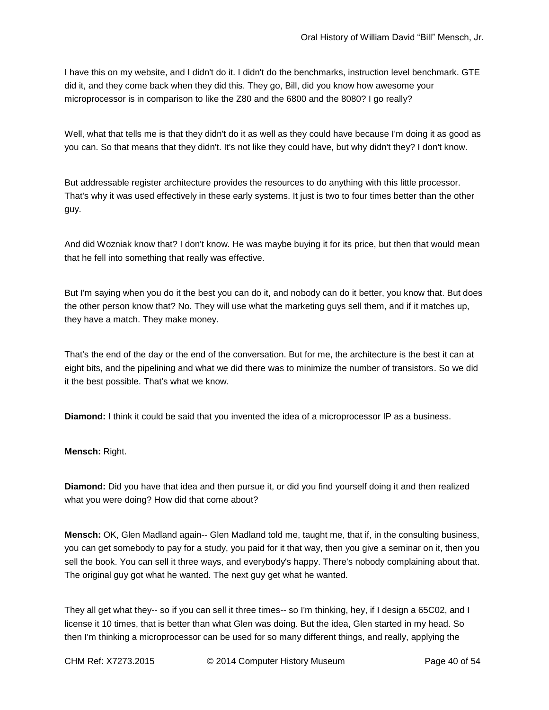I have this on my website, and I didn't do it. I didn't do the benchmarks, instruction level benchmark. GTE did it, and they come back when they did this. They go, Bill, did you know how awesome your microprocessor is in comparison to like the Z80 and the 6800 and the 8080? I go really?

Well, what that tells me is that they didn't do it as well as they could have because I'm doing it as good as you can. So that means that they didn't. It's not like they could have, but why didn't they? I don't know.

But addressable register architecture provides the resources to do anything with this little processor. That's why it was used effectively in these early systems. It just is two to four times better than the other guy.

And did Wozniak know that? I don't know. He was maybe buying it for its price, but then that would mean that he fell into something that really was effective.

But I'm saying when you do it the best you can do it, and nobody can do it better, you know that. But does the other person know that? No. They will use what the marketing guys sell them, and if it matches up, they have a match. They make money.

That's the end of the day or the end of the conversation. But for me, the architecture is the best it can at eight bits, and the pipelining and what we did there was to minimize the number of transistors. So we did it the best possible. That's what we know.

**Diamond:** I think it could be said that you invented the idea of a microprocessor IP as a business.

**Mensch:** Right.

**Diamond:** Did you have that idea and then pursue it, or did you find yourself doing it and then realized what you were doing? How did that come about?

**Mensch:** OK, Glen Madland again-- Glen Madland told me, taught me, that if, in the consulting business, you can get somebody to pay for a study, you paid for it that way, then you give a seminar on it, then you sell the book. You can sell it three ways, and everybody's happy. There's nobody complaining about that. The original guy got what he wanted. The next guy get what he wanted.

They all get what they-- so if you can sell it three times-- so I'm thinking, hey, if I design a 65C02, and I license it 10 times, that is better than what Glen was doing. But the idea, Glen started in my head. So then I'm thinking a microprocessor can be used for so many different things, and really, applying the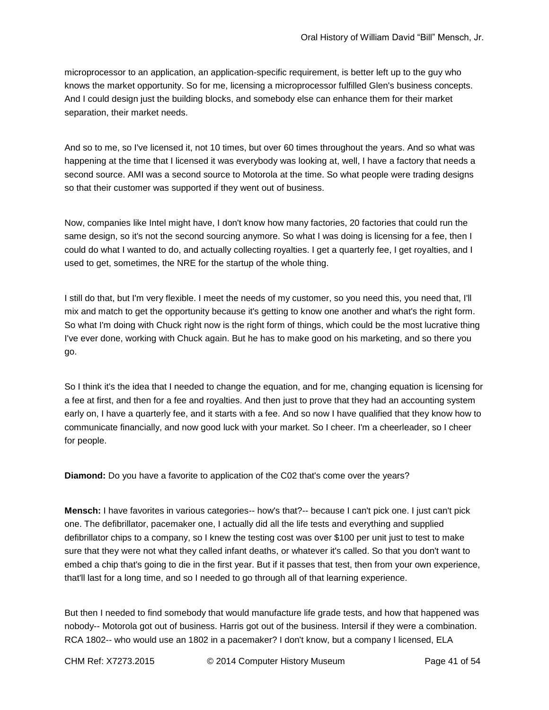microprocessor to an application, an application-specific requirement, is better left up to the guy who knows the market opportunity. So for me, licensing a microprocessor fulfilled Glen's business concepts. And I could design just the building blocks, and somebody else can enhance them for their market separation, their market needs.

And so to me, so I've licensed it, not 10 times, but over 60 times throughout the years. And so what was happening at the time that I licensed it was everybody was looking at, well, I have a factory that needs a second source. AMI was a second source to Motorola at the time. So what people were trading designs so that their customer was supported if they went out of business.

Now, companies like Intel might have, I don't know how many factories, 20 factories that could run the same design, so it's not the second sourcing anymore. So what I was doing is licensing for a fee, then I could do what I wanted to do, and actually collecting royalties. I get a quarterly fee, I get royalties, and I used to get, sometimes, the NRE for the startup of the whole thing.

I still do that, but I'm very flexible. I meet the needs of my customer, so you need this, you need that, I'll mix and match to get the opportunity because it's getting to know one another and what's the right form. So what I'm doing with Chuck right now is the right form of things, which could be the most lucrative thing I've ever done, working with Chuck again. But he has to make good on his marketing, and so there you go.

So I think it's the idea that I needed to change the equation, and for me, changing equation is licensing for a fee at first, and then for a fee and royalties. And then just to prove that they had an accounting system early on, I have a quarterly fee, and it starts with a fee. And so now I have qualified that they know how to communicate financially, and now good luck with your market. So I cheer. I'm a cheerleader, so I cheer for people.

**Diamond:** Do you have a favorite to application of the C02 that's come over the years?

**Mensch:** I have favorites in various categories-- how's that?-- because I can't pick one. I just can't pick one. The defibrillator, pacemaker one, I actually did all the life tests and everything and supplied defibrillator chips to a company, so I knew the testing cost was over \$100 per unit just to test to make sure that they were not what they called infant deaths, or whatever it's called. So that you don't want to embed a chip that's going to die in the first year. But if it passes that test, then from your own experience, that'll last for a long time, and so I needed to go through all of that learning experience.

But then I needed to find somebody that would manufacture life grade tests, and how that happened was nobody-- Motorola got out of business. Harris got out of the business. Intersil if they were a combination. RCA 1802-- who would use an 1802 in a pacemaker? I don't know, but a company I licensed, ELA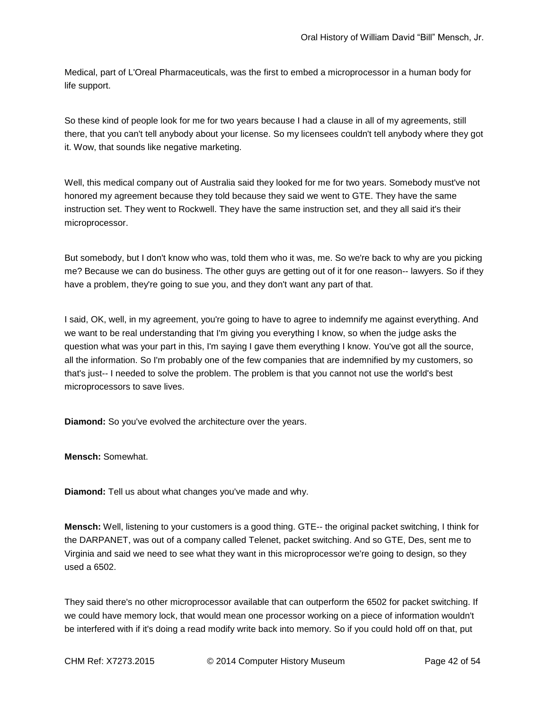Medical, part of L'Oreal Pharmaceuticals, was the first to embed a microprocessor in a human body for life support.

So these kind of people look for me for two years because I had a clause in all of my agreements, still there, that you can't tell anybody about your license. So my licensees couldn't tell anybody where they got it. Wow, that sounds like negative marketing.

Well, this medical company out of Australia said they looked for me for two years. Somebody must've not honored my agreement because they told because they said we went to GTE. They have the same instruction set. They went to Rockwell. They have the same instruction set, and they all said it's their microprocessor.

But somebody, but I don't know who was, told them who it was, me. So we're back to why are you picking me? Because we can do business. The other guys are getting out of it for one reason-- lawyers. So if they have a problem, they're going to sue you, and they don't want any part of that.

I said, OK, well, in my agreement, you're going to have to agree to indemnify me against everything. And we want to be real understanding that I'm giving you everything I know, so when the judge asks the question what was your part in this, I'm saying I gave them everything I know. You've got all the source, all the information. So I'm probably one of the few companies that are indemnified by my customers, so that's just-- I needed to solve the problem. The problem is that you cannot not use the world's best microprocessors to save lives.

**Diamond:** So you've evolved the architecture over the years.

**Mensch:** Somewhat.

**Diamond:** Tell us about what changes you've made and why.

**Mensch:** Well, listening to your customers is a good thing. GTE-- the original packet switching, I think for the DARPANET, was out of a company called Telenet, packet switching. And so GTE, Des, sent me to Virginia and said we need to see what they want in this microprocessor we're going to design, so they used a 6502.

They said there's no other microprocessor available that can outperform the 6502 for packet switching. If we could have memory lock, that would mean one processor working on a piece of information wouldn't be interfered with if it's doing a read modify write back into memory. So if you could hold off on that, put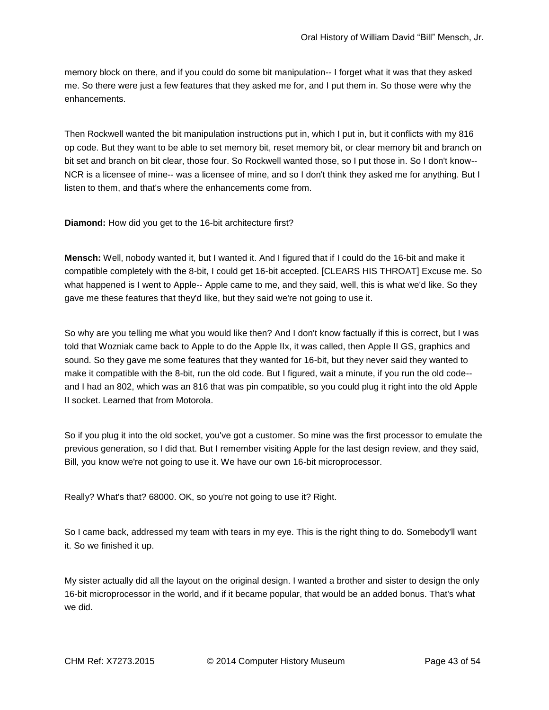memory block on there, and if you could do some bit manipulation-- I forget what it was that they asked me. So there were just a few features that they asked me for, and I put them in. So those were why the enhancements.

Then Rockwell wanted the bit manipulation instructions put in, which I put in, but it conflicts with my 816 op code. But they want to be able to set memory bit, reset memory bit, or clear memory bit and branch on bit set and branch on bit clear, those four. So Rockwell wanted those, so I put those in. So I don't know-- NCR is a licensee of mine-- was a licensee of mine, and so I don't think they asked me for anything. But I listen to them, and that's where the enhancements come from.

**Diamond:** How did you get to the 16-bit architecture first?

**Mensch:** Well, nobody wanted it, but I wanted it. And I figured that if I could do the 16-bit and make it compatible completely with the 8-bit, I could get 16-bit accepted. [CLEARS HIS THROAT] Excuse me. So what happened is I went to Apple-- Apple came to me, and they said, well, this is what we'd like. So they gave me these features that they'd like, but they said we're not going to use it.

So why are you telling me what you would like then? And I don't know factually if this is correct, but I was told that Wozniak came back to Apple to do the Apple IIx, it was called, then Apple II GS, graphics and sound. So they gave me some features that they wanted for 16-bit, but they never said they wanted to make it compatible with the 8-bit, run the old code. But I figured, wait a minute, if you run the old code- and I had an 802, which was an 816 that was pin compatible, so you could plug it right into the old Apple II socket. Learned that from Motorola.

So if you plug it into the old socket, you've got a customer. So mine was the first processor to emulate the previous generation, so I did that. But I remember visiting Apple for the last design review, and they said, Bill, you know we're not going to use it. We have our own 16-bit microprocessor.

Really? What's that? 68000. OK, so you're not going to use it? Right.

So I came back, addressed my team with tears in my eye. This is the right thing to do. Somebody'll want it. So we finished it up.

My sister actually did all the layout on the original design. I wanted a brother and sister to design the only 16-bit microprocessor in the world, and if it became popular, that would be an added bonus. That's what we did.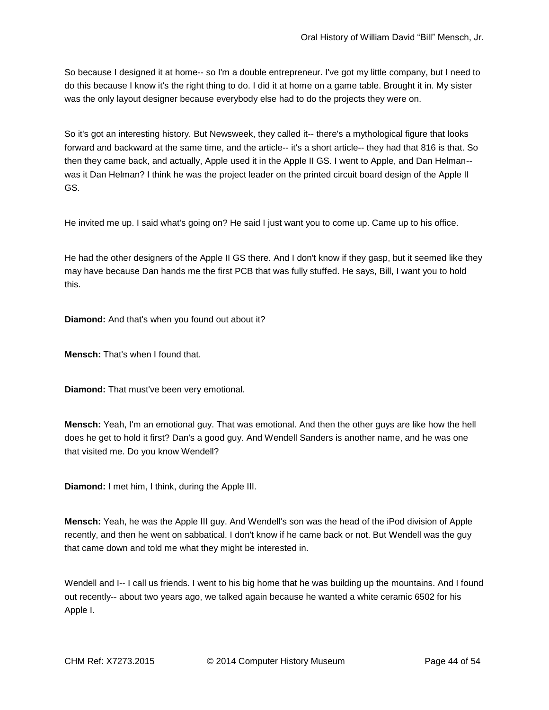So because I designed it at home-- so I'm a double entrepreneur. I've got my little company, but I need to do this because I know it's the right thing to do. I did it at home on a game table. Brought it in. My sister was the only layout designer because everybody else had to do the projects they were on.

So it's got an interesting history. But Newsweek, they called it-- there's a mythological figure that looks forward and backward at the same time, and the article-- it's a short article-- they had that 816 is that. So then they came back, and actually, Apple used it in the Apple II GS. I went to Apple, and Dan Helman- was it Dan Helman? I think he was the project leader on the printed circuit board design of the Apple II GS.

He invited me up. I said what's going on? He said I just want you to come up. Came up to his office.

He had the other designers of the Apple II GS there. And I don't know if they gasp, but it seemed like they may have because Dan hands me the first PCB that was fully stuffed. He says, Bill, I want you to hold this.

**Diamond:** And that's when you found out about it?

**Mensch:** That's when I found that.

**Diamond:** That must've been very emotional.

**Mensch:** Yeah, I'm an emotional guy. That was emotional. And then the other guys are like how the hell does he get to hold it first? Dan's a good guy. And Wendell Sanders is another name, and he was one that visited me. Do you know Wendell?

**Diamond:** I met him, I think, during the Apple III.

**Mensch:** Yeah, he was the Apple III guy. And Wendell's son was the head of the iPod division of Apple recently, and then he went on sabbatical. I don't know if he came back or not. But Wendell was the guy that came down and told me what they might be interested in.

Wendell and I-- I call us friends. I went to his big home that he was building up the mountains. And I found out recently-- about two years ago, we talked again because he wanted a white ceramic 6502 for his Apple I.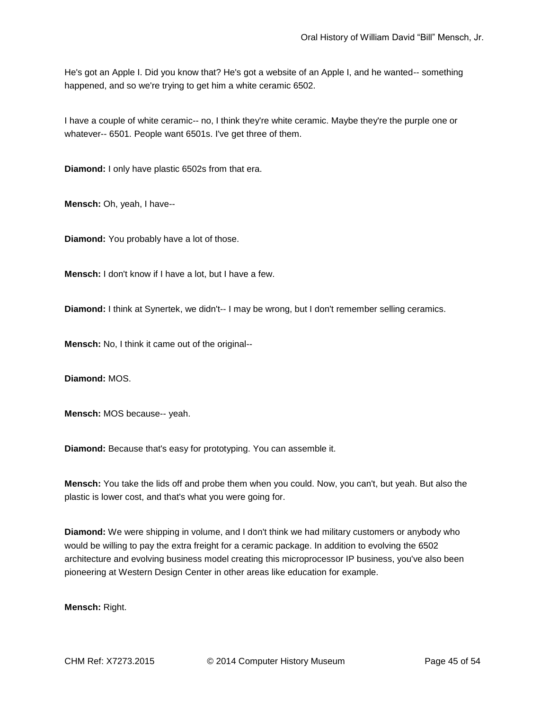He's got an Apple I. Did you know that? He's got a website of an Apple I, and he wanted-- something happened, and so we're trying to get him a white ceramic 6502.

I have a couple of white ceramic-- no, I think they're white ceramic. Maybe they're the purple one or whatever-- 6501. People want 6501s. I've get three of them.

**Diamond:** I only have plastic 6502s from that era.

**Mensch:** Oh, yeah, I have--

**Diamond:** You probably have a lot of those.

**Mensch:** I don't know if I have a lot, but I have a few.

**Diamond:** I think at Synertek, we didn't-- I may be wrong, but I don't remember selling ceramics.

**Mensch:** No, I think it came out of the original--

**Diamond:** MOS.

**Mensch:** MOS because-- yeah.

**Diamond:** Because that's easy for prototyping. You can assemble it.

**Mensch:** You take the lids off and probe them when you could. Now, you can't, but yeah. But also the plastic is lower cost, and that's what you were going for.

**Diamond:** We were shipping in volume, and I don't think we had military customers or anybody who would be willing to pay the extra freight for a ceramic package. In addition to evolving the 6502 architecture and evolving business model creating this microprocessor IP business, you've also been pioneering at Western Design Center in other areas like education for example.

**Mensch:** Right.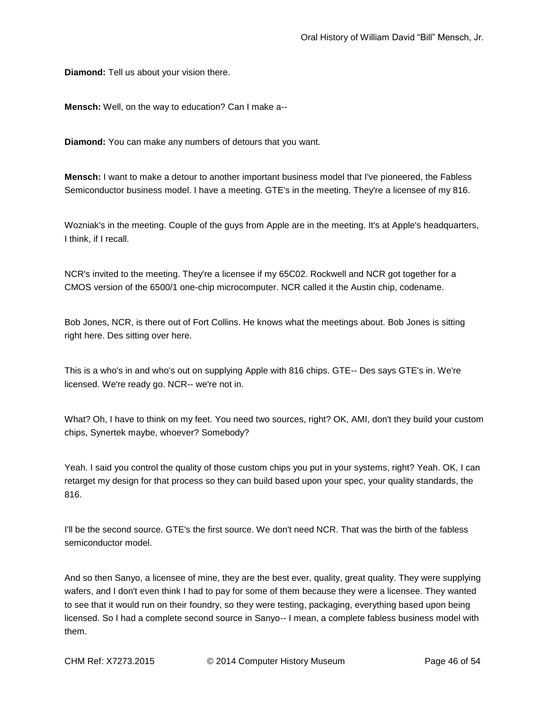**Diamond:** Tell us about your vision there.

**Mensch:** Well, on the way to education? Can I make a--

**Diamond:** You can make any numbers of detours that you want.

**Mensch:** I want to make a detour to another important business model that I've pioneered, the Fabless Semiconductor business model. I have a meeting. GTE's in the meeting. They're a licensee of my 816.

Wozniak's in the meeting. Couple of the guys from Apple are in the meeting. It's at Apple's headquarters, I think, if I recall.

NCR's invited to the meeting. They're a licensee if my 65C02. Rockwell and NCR got together for a CMOS version of the 6500/1 one-chip microcomputer. NCR called it the Austin chip, codename.

Bob Jones, NCR, is there out of Fort Collins. He knows what the meetings about. Bob Jones is sitting right here. Des sitting over here.

This is a who's in and who's out on supplying Apple with 816 chips. GTE-- Des says GTE's in. We're licensed. We're ready go. NCR-- we're not in.

What? Oh, I have to think on my feet. You need two sources, right? OK, AMI, don't they build your custom chips, Synertek maybe, whoever? Somebody?

Yeah. I said you control the quality of those custom chips you put in your systems, right? Yeah. OK, I can retarget my design for that process so they can build based upon your spec, your quality standards, the 816.

I'll be the second source. GTE's the first source. We don't need NCR. That was the birth of the fabless semiconductor model.

And so then Sanyo, a licensee of mine, they are the best ever, quality, great quality. They were supplying wafers, and I don't even think I had to pay for some of them because they were a licensee. They wanted to see that it would run on their foundry, so they were testing, packaging, everything based upon being licensed. So I had a complete second source in Sanyo-- I mean, a complete fabless business model with them.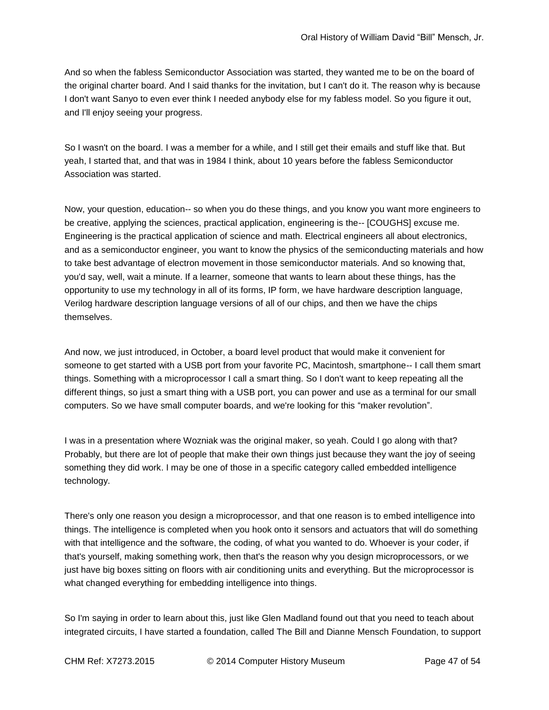And so when the fabless Semiconductor Association was started, they wanted me to be on the board of the original charter board. And I said thanks for the invitation, but I can't do it. The reason why is because I don't want Sanyo to even ever think I needed anybody else for my fabless model. So you figure it out, and I'll enjoy seeing your progress.

So I wasn't on the board. I was a member for a while, and I still get their emails and stuff like that. But yeah, I started that, and that was in 1984 I think, about 10 years before the fabless Semiconductor Association was started.

Now, your question, education-- so when you do these things, and you know you want more engineers to be creative, applying the sciences, practical application, engineering is the-- [COUGHS] excuse me. Engineering is the practical application of science and math. Electrical engineers all about electronics, and as a semiconductor engineer, you want to know the physics of the semiconducting materials and how to take best advantage of electron movement in those semiconductor materials. And so knowing that, you'd say, well, wait a minute. If a learner, someone that wants to learn about these things, has the opportunity to use my technology in all of its forms, IP form, we have hardware description language, Verilog hardware description language versions of all of our chips, and then we have the chips themselves.

And now, we just introduced, in October, a board level product that would make it convenient for someone to get started with a USB port from your favorite PC, Macintosh, smartphone-- I call them smart things. Something with a microprocessor I call a smart thing. So I don't want to keep repeating all the different things, so just a smart thing with a USB port, you can power and use as a terminal for our small computers. So we have small computer boards, and we're looking for this "maker revolution".

I was in a presentation where Wozniak was the original maker, so yeah. Could I go along with that? Probably, but there are lot of people that make their own things just because they want the joy of seeing something they did work. I may be one of those in a specific category called embedded intelligence technology.

There's only one reason you design a microprocessor, and that one reason is to embed intelligence into things. The intelligence is completed when you hook onto it sensors and actuators that will do something with that intelligence and the software, the coding, of what you wanted to do. Whoever is your coder, if that's yourself, making something work, then that's the reason why you design microprocessors, or we just have big boxes sitting on floors with air conditioning units and everything. But the microprocessor is what changed everything for embedding intelligence into things.

So I'm saying in order to learn about this, just like Glen Madland found out that you need to teach about integrated circuits, I have started a foundation, called The Bill and Dianne Mensch Foundation, to support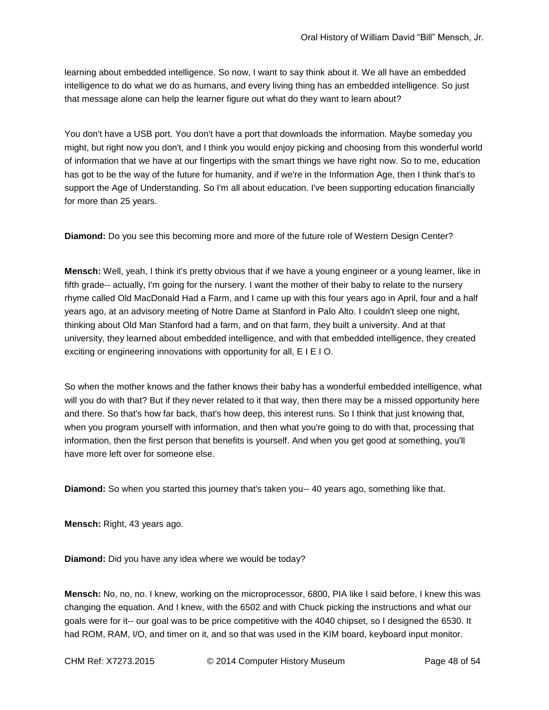learning about embedded intelligence. So now, I want to say think about it. We all have an embedded intelligence to do what we do as humans, and every living thing has an embedded intelligence. So just that message alone can help the learner figure out what do they want to learn about?

You don't have a USB port. You don't have a port that downloads the information. Maybe someday you might, but right now you don't, and I think you would enjoy picking and choosing from this wonderful world of information that we have at our fingertips with the smart things we have right now. So to me, education has got to be the way of the future for humanity, and if we're in the Information Age, then I think that's to support the Age of Understanding. So I'm all about education. I've been supporting education financially for more than 25 years.

**Diamond:** Do you see this becoming more and more of the future role of Western Design Center?

**Mensch:** Well, yeah, I think it's pretty obvious that if we have a young engineer or a young learner, like in fifth grade-- actually, I'm going for the nursery. I want the mother of their baby to relate to the nursery rhyme called Old MacDonald Had a Farm, and I came up with this four years ago in April, four and a half years ago, at an advisory meeting of Notre Dame at Stanford in Palo Alto. I couldn't sleep one night, thinking about Old Man Stanford had a farm, and on that farm, they built a university. And at that university, they learned about embedded intelligence, and with that embedded intelligence, they created exciting or engineering innovations with opportunity for all, E I E I O.

So when the mother knows and the father knows their baby has a wonderful embedded intelligence, what will you do with that? But if they never related to it that way, then there may be a missed opportunity here and there. So that's how far back, that's how deep, this interest runs. So I think that just knowing that, when you program yourself with information, and then what you're going to do with that, processing that information, then the first person that benefits is yourself. And when you get good at something, you'll have more left over for someone else.

**Diamond:** So when you started this journey that's taken you-- 40 years ago, something like that.

**Mensch:** Right, 43 years ago.

**Diamond:** Did you have any idea where we would be today?

**Mensch:** No, no, no. I knew, working on the microprocessor, 6800, PIA like I said before, I knew this was changing the equation. And I knew, with the 6502 and with Chuck picking the instructions and what our goals were for it-- our goal was to be price competitive with the 4040 chipset, so I designed the 6530. It had ROM, RAM, I/O, and timer on it, and so that was used in the KIM board, keyboard input monitor.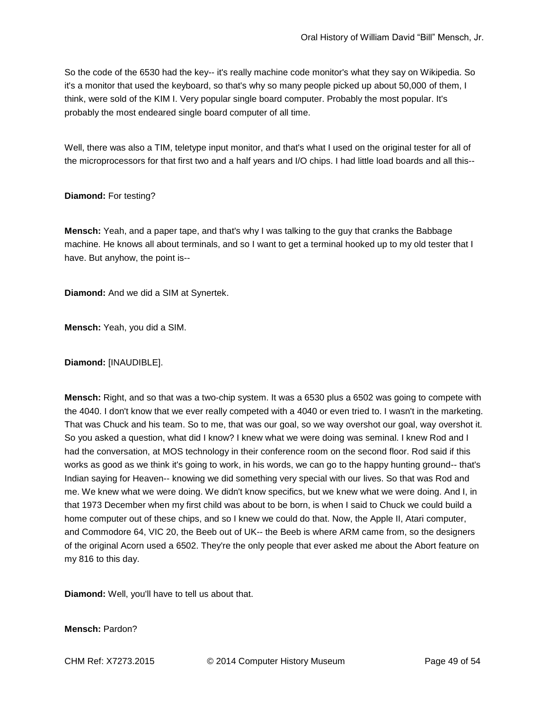So the code of the 6530 had the key-- it's really machine code monitor's what they say on Wikipedia. So it's a monitor that used the keyboard, so that's why so many people picked up about 50,000 of them, I think, were sold of the KIM I. Very popular single board computer. Probably the most popular. It's probably the most endeared single board computer of all time.

Well, there was also a TIM, teletype input monitor, and that's what I used on the original tester for all of the microprocessors for that first two and a half years and I/O chips. I had little load boards and all this--

## **Diamond:** For testing?

**Mensch:** Yeah, and a paper tape, and that's why I was talking to the guy that cranks the Babbage machine. He knows all about terminals, and so I want to get a terminal hooked up to my old tester that I have. But anyhow, the point is--

**Diamond:** And we did a SIM at Synertek.

**Mensch:** Yeah, you did a SIM.

**Diamond:** [INAUDIBLE].

**Mensch:** Right, and so that was a two-chip system. It was a 6530 plus a 6502 was going to compete with the 4040. I don't know that we ever really competed with a 4040 or even tried to. I wasn't in the marketing. That was Chuck and his team. So to me, that was our goal, so we way overshot our goal, way overshot it. So you asked a question, what did I know? I knew what we were doing was seminal. I knew Rod and I had the conversation, at MOS technology in their conference room on the second floor. Rod said if this works as good as we think it's going to work, in his words, we can go to the happy hunting ground-- that's Indian saying for Heaven-- knowing we did something very special with our lives. So that was Rod and me. We knew what we were doing. We didn't know specifics, but we knew what we were doing. And I, in that 1973 December when my first child was about to be born, is when I said to Chuck we could build a home computer out of these chips, and so I knew we could do that. Now, the Apple II, Atari computer, and Commodore 64, VIC 20, the Beeb out of UK-- the Beeb is where ARM came from, so the designers of the original Acorn used a 6502. They're the only people that ever asked me about the Abort feature on my 816 to this day.

**Diamond:** Well, you'll have to tell us about that.

**Mensch:** Pardon?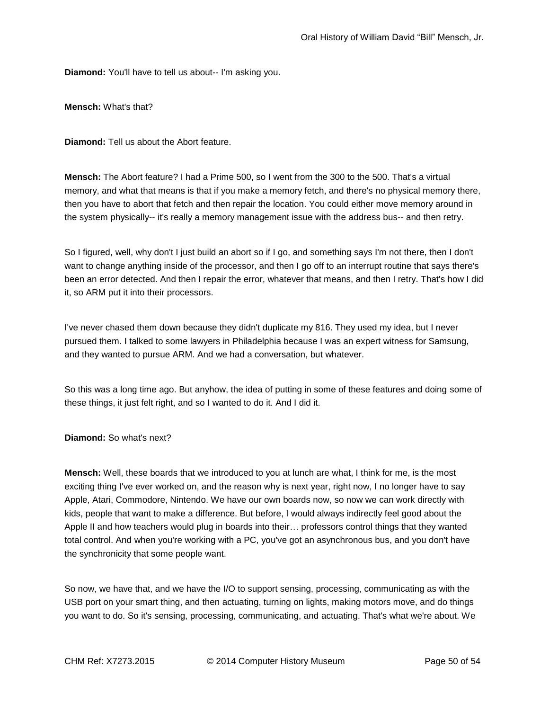**Diamond:** You'll have to tell us about-- I'm asking you.

**Mensch:** What's that?

**Diamond:** Tell us about the Abort feature.

**Mensch:** The Abort feature? I had a Prime 500, so I went from the 300 to the 500. That's a virtual memory, and what that means is that if you make a memory fetch, and there's no physical memory there, then you have to abort that fetch and then repair the location. You could either move memory around in the system physically-- it's really a memory management issue with the address bus-- and then retry.

So I figured, well, why don't I just build an abort so if I go, and something says I'm not there, then I don't want to change anything inside of the processor, and then I go off to an interrupt routine that says there's been an error detected. And then I repair the error, whatever that means, and then I retry. That's how I did it, so ARM put it into their processors.

I've never chased them down because they didn't duplicate my 816. They used my idea, but I never pursued them. I talked to some lawyers in Philadelphia because I was an expert witness for Samsung, and they wanted to pursue ARM. And we had a conversation, but whatever.

So this was a long time ago. But anyhow, the idea of putting in some of these features and doing some of these things, it just felt right, and so I wanted to do it. And I did it.

**Diamond:** So what's next?

**Mensch:** Well, these boards that we introduced to you at lunch are what, I think for me, is the most exciting thing I've ever worked on, and the reason why is next year, right now, I no longer have to say Apple, Atari, Commodore, Nintendo. We have our own boards now, so now we can work directly with kids, people that want to make a difference. But before, I would always indirectly feel good about the Apple II and how teachers would plug in boards into their… professors control things that they wanted total control. And when you're working with a PC, you've got an asynchronous bus, and you don't have the synchronicity that some people want.

So now, we have that, and we have the I/O to support sensing, processing, communicating as with the USB port on your smart thing, and then actuating, turning on lights, making motors move, and do things you want to do. So it's sensing, processing, communicating, and actuating. That's what we're about. We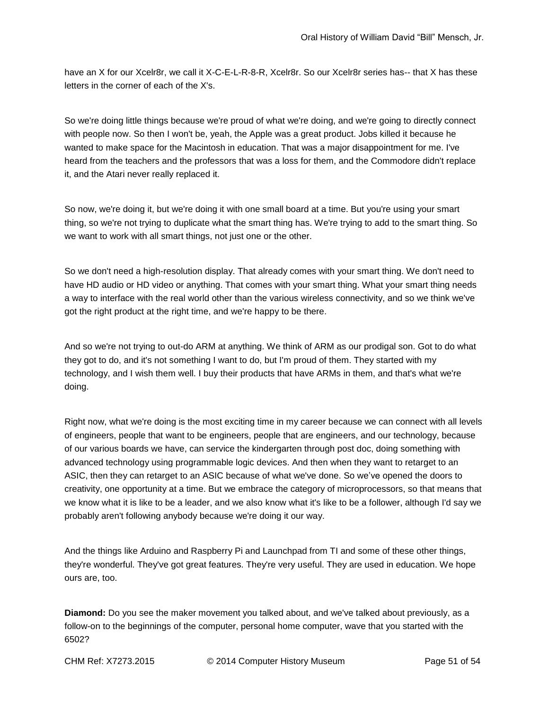have an X for our Xcelr8r, we call it X-C-E-L-R-8-R, Xcelr8r. So our Xcelr8r series has-- that X has these letters in the corner of each of the X's.

So we're doing little things because we're proud of what we're doing, and we're going to directly connect with people now. So then I won't be, yeah, the Apple was a great product. Jobs killed it because he wanted to make space for the Macintosh in education. That was a major disappointment for me. I've heard from the teachers and the professors that was a loss for them, and the Commodore didn't replace it, and the Atari never really replaced it.

So now, we're doing it, but we're doing it with one small board at a time. But you're using your smart thing, so we're not trying to duplicate what the smart thing has. We're trying to add to the smart thing. So we want to work with all smart things, not just one or the other.

So we don't need a high-resolution display. That already comes with your smart thing. We don't need to have HD audio or HD video or anything. That comes with your smart thing. What your smart thing needs a way to interface with the real world other than the various wireless connectivity, and so we think we've got the right product at the right time, and we're happy to be there.

And so we're not trying to out-do ARM at anything. We think of ARM as our prodigal son. Got to do what they got to do, and it's not something I want to do, but I'm proud of them. They started with my technology, and I wish them well. I buy their products that have ARMs in them, and that's what we're doing.

Right now, what we're doing is the most exciting time in my career because we can connect with all levels of engineers, people that want to be engineers, people that are engineers, and our technology, because of our various boards we have, can service the kindergarten through post doc, doing something with advanced technology using programmable logic devices. And then when they want to retarget to an ASIC, then they can retarget to an ASIC because of what we've done. So we've opened the doors to creativity, one opportunity at a time. But we embrace the category of microprocessors, so that means that we know what it is like to be a leader, and we also know what it's like to be a follower, although I'd say we probably aren't following anybody because we're doing it our way.

And the things like Arduino and Raspberry Pi and Launchpad from TI and some of these other things, they're wonderful. They've got great features. They're very useful. They are used in education. We hope ours are, too.

**Diamond:** Do you see the maker movement you talked about, and we've talked about previously, as a follow-on to the beginnings of the computer, personal home computer, wave that you started with the 6502?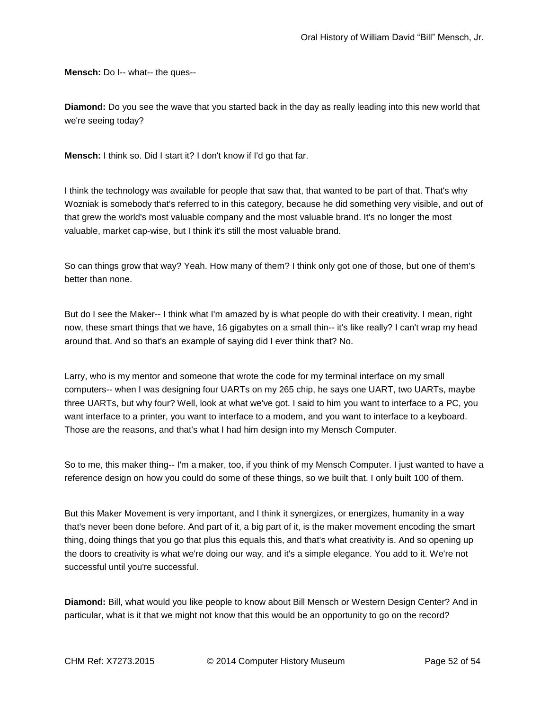**Mensch:** Do I-- what-- the ques--

**Diamond:** Do you see the wave that you started back in the day as really leading into this new world that we're seeing today?

**Mensch:** I think so. Did I start it? I don't know if I'd go that far.

I think the technology was available for people that saw that, that wanted to be part of that. That's why Wozniak is somebody that's referred to in this category, because he did something very visible, and out of that grew the world's most valuable company and the most valuable brand. It's no longer the most valuable, market cap-wise, but I think it's still the most valuable brand.

So can things grow that way? Yeah. How many of them? I think only got one of those, but one of them's better than none.

But do I see the Maker-- I think what I'm amazed by is what people do with their creativity. I mean, right now, these smart things that we have, 16 gigabytes on a small thin-- it's like really? I can't wrap my head around that. And so that's an example of saying did I ever think that? No.

Larry, who is my mentor and someone that wrote the code for my terminal interface on my small computers-- when I was designing four UARTs on my 265 chip, he says one UART, two UARTs, maybe three UARTs, but why four? Well, look at what we've got. I said to him you want to interface to a PC, you want interface to a printer, you want to interface to a modem, and you want to interface to a keyboard. Those are the reasons, and that's what I had him design into my Mensch Computer.

So to me, this maker thing-- I'm a maker, too, if you think of my Mensch Computer. I just wanted to have a reference design on how you could do some of these things, so we built that. I only built 100 of them.

But this Maker Movement is very important, and I think it synergizes, or energizes, humanity in a way that's never been done before. And part of it, a big part of it, is the maker movement encoding the smart thing, doing things that you go that plus this equals this, and that's what creativity is. And so opening up the doors to creativity is what we're doing our way, and it's a simple elegance. You add to it. We're not successful until you're successful.

**Diamond:** Bill, what would you like people to know about Bill Mensch or Western Design Center? And in particular, what is it that we might not know that this would be an opportunity to go on the record?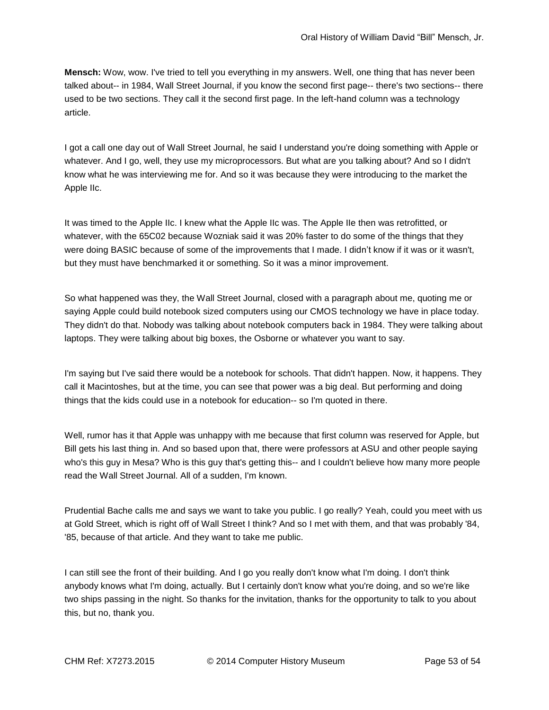**Mensch:** Wow, wow. I've tried to tell you everything in my answers. Well, one thing that has never been talked about-- in 1984, Wall Street Journal, if you know the second first page-- there's two sections-- there used to be two sections. They call it the second first page. In the left-hand column was a technology article.

I got a call one day out of Wall Street Journal, he said I understand you're doing something with Apple or whatever. And I go, well, they use my microprocessors. But what are you talking about? And so I didn't know what he was interviewing me for. And so it was because they were introducing to the market the Apple IIc.

It was timed to the Apple IIc. I knew what the Apple IIc was. The Apple IIe then was retrofitted, or whatever, with the 65C02 because Wozniak said it was 20% faster to do some of the things that they were doing BASIC because of some of the improvements that I made. I didn't know if it was or it wasn't, but they must have benchmarked it or something. So it was a minor improvement.

So what happened was they, the Wall Street Journal, closed with a paragraph about me, quoting me or saying Apple could build notebook sized computers using our CMOS technology we have in place today. They didn't do that. Nobody was talking about notebook computers back in 1984. They were talking about laptops. They were talking about big boxes, the Osborne or whatever you want to say.

I'm saying but I've said there would be a notebook for schools. That didn't happen. Now, it happens. They call it Macintoshes, but at the time, you can see that power was a big deal. But performing and doing things that the kids could use in a notebook for education-- so I'm quoted in there.

Well, rumor has it that Apple was unhappy with me because that first column was reserved for Apple, but Bill gets his last thing in. And so based upon that, there were professors at ASU and other people saying who's this guy in Mesa? Who is this guy that's getting this-- and I couldn't believe how many more people read the Wall Street Journal. All of a sudden, I'm known.

Prudential Bache calls me and says we want to take you public. I go really? Yeah, could you meet with us at Gold Street, which is right off of Wall Street I think? And so I met with them, and that was probably '84, '85, because of that article. And they want to take me public.

I can still see the front of their building. And I go you really don't know what I'm doing. I don't think anybody knows what I'm doing, actually. But I certainly don't know what you're doing, and so we're like two ships passing in the night. So thanks for the invitation, thanks for the opportunity to talk to you about this, but no, thank you.